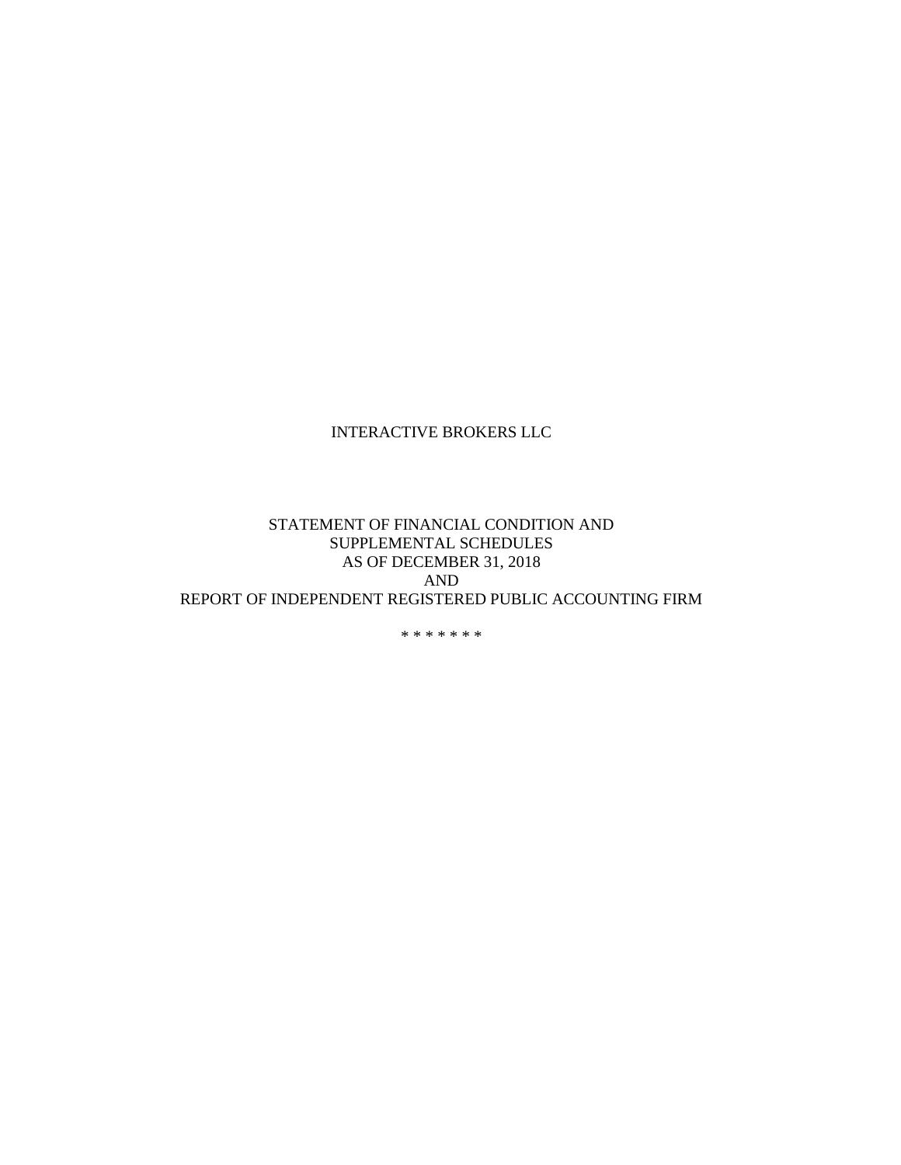#### STATEMENT OF FINANCIAL CONDITION AND SUPPLEMENTAL SCHEDULES AS OF DECEMBER 31, 2018 AND REPORT OF INDEPENDENT REGISTERED PUBLIC ACCOUNTING FIRM

\* \* \* \* \* \* \*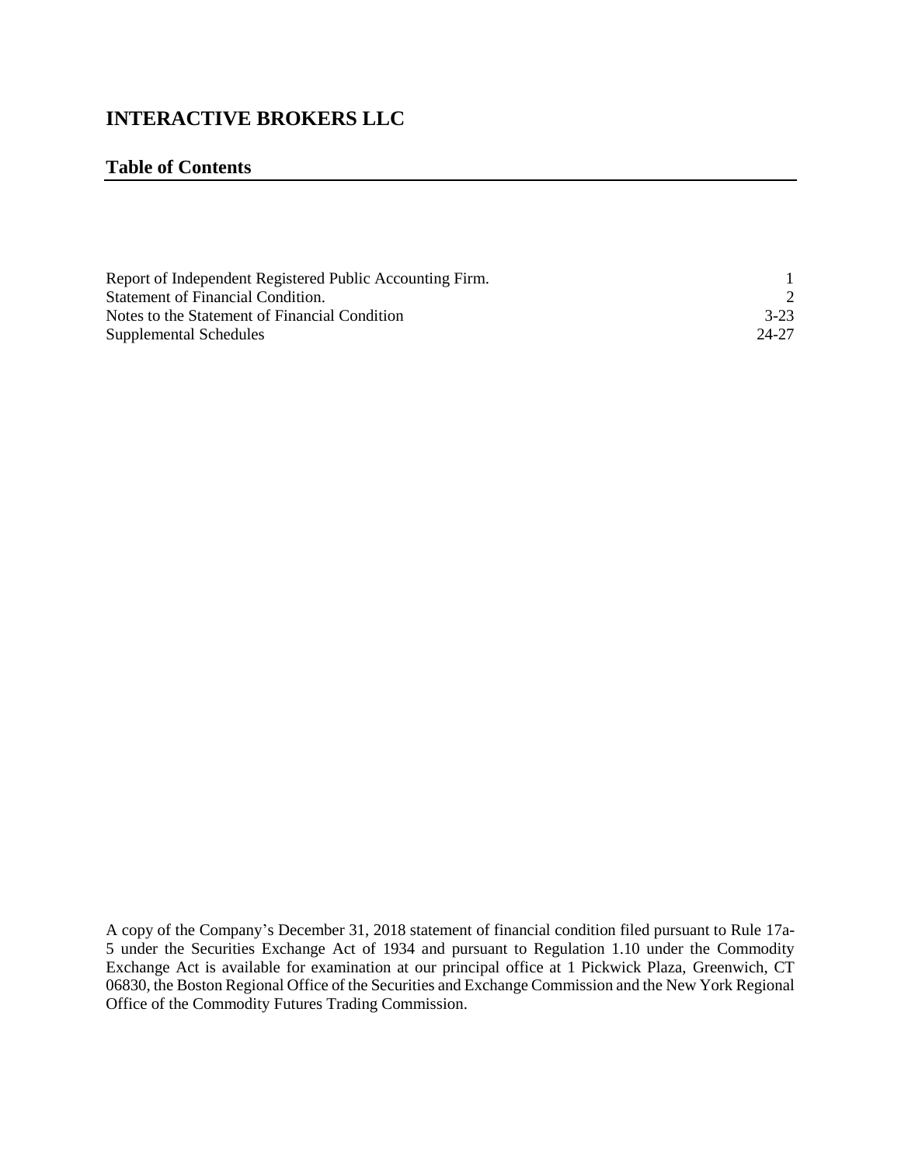#### **Table of Contents**

| Report of Independent Registered Public Accounting Firm. |        |
|----------------------------------------------------------|--------|
| Statement of Financial Condition.                        |        |
| Notes to the Statement of Financial Condition            | $3-23$ |
| Supplemental Schedules                                   | 24-27  |

A copy of the Company's December 31, 2018 statement of financial condition filed pursuant to Rule 17a-5 under the Securities Exchange Act of 1934 and pursuant to Regulation 1.10 under the Commodity Exchange Act is available for examination at our principal office at 1 Pickwick Plaza, Greenwich, CT 06830, the Boston Regional Office of the Securities and Exchange Commission and the New York Regional Office of the Commodity Futures Trading Commission.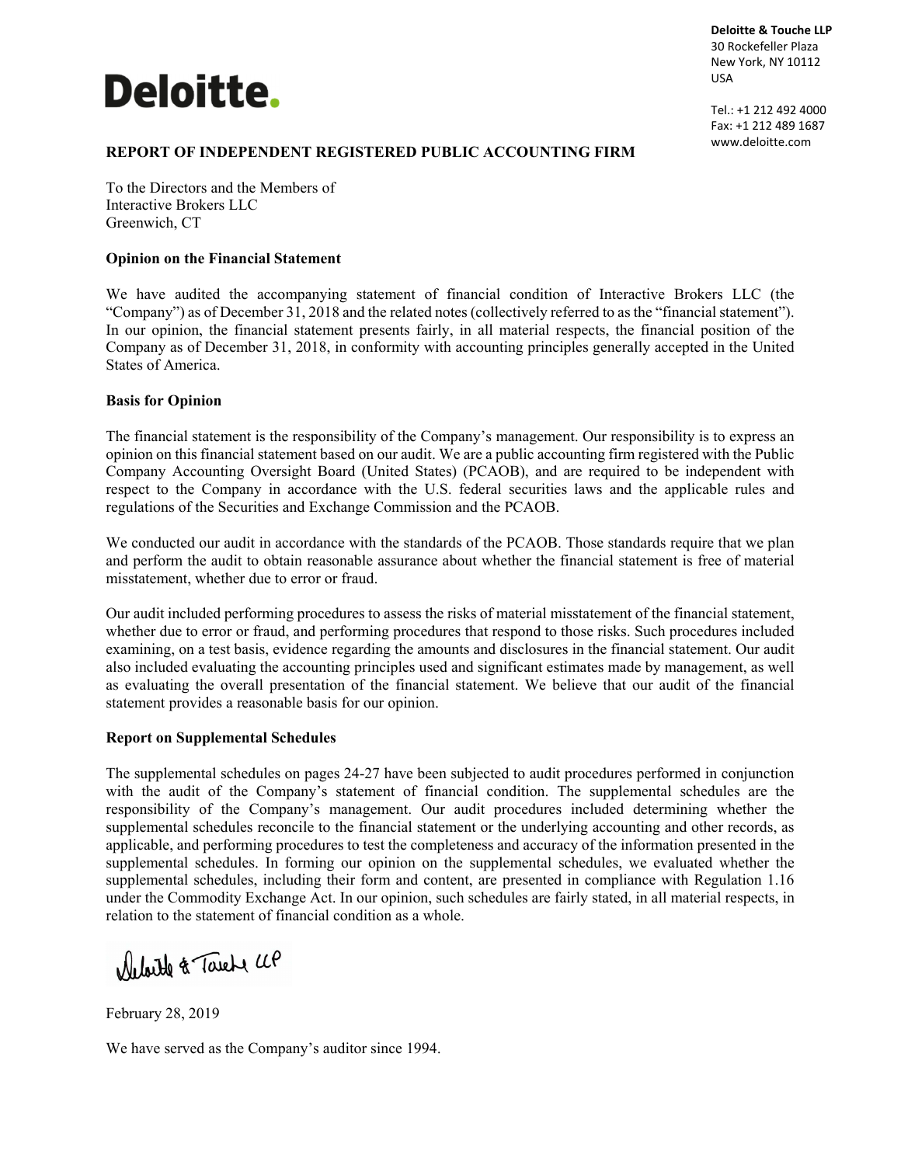# **Deloitte.**

**Deloitte & Touche LLP** 30 Rockefeller Plaza New York, NY 10112 USA

Tel.: +1 212 492 4000 Fax: +1 212 489 1687 www.deloitte.com

#### **REPORT OF INDEPENDENT REGISTERED PUBLIC ACCOUNTING FIRM**

To the Directors and the Members of Interactive Brokers LLC Greenwich, CT

#### **Opinion on the Financial Statement**

We have audited the accompanying statement of financial condition of Interactive Brokers LLC (the "Company") as of December 31, 2018 and the related notes (collectively referred to as the "financial statement"). In our opinion, the financial statement presents fairly, in all material respects, the financial position of the Company as of December 31, 2018, in conformity with accounting principles generally accepted in the United States of America.

#### **Basis for Opinion**

The financial statement is the responsibility of the Company's management. Our responsibility is to express an opinion on this financial statement based on our audit. We are a public accounting firm registered with the Public Company Accounting Oversight Board (United States) (PCAOB), and are required to be independent with respect to the Company in accordance with the U.S. federal securities laws and the applicable rules and regulations of the Securities and Exchange Commission and the PCAOB.

We conducted our audit in accordance with the standards of the PCAOB. Those standards require that we plan and perform the audit to obtain reasonable assurance about whether the financial statement is free of material misstatement, whether due to error or fraud.

Our audit included performing procedures to assess the risks of material misstatement of the financial statement, whether due to error or fraud, and performing procedures that respond to those risks. Such procedures included examining, on a test basis, evidence regarding the amounts and disclosures in the financial statement. Our audit also included evaluating the accounting principles used and significant estimates made by management, as well as evaluating the overall presentation of the financial statement. We believe that our audit of the financial statement provides a reasonable basis for our opinion.

#### **Report on Supplemental Schedules**

The supplemental schedules on pages 24-27 have been subjected to audit procedures performed in conjunction with the audit of the Company's statement of financial condition. The supplemental schedules are the responsibility of the Company's management. Our audit procedures included determining whether the supplemental schedules reconcile to the financial statement or the underlying accounting and other records, as applicable, and performing procedures to test the completeness and accuracy of the information presented in the supplemental schedules. In forming our opinion on the supplemental schedules, we evaluated whether the supplemental schedules, including their form and content, are presented in compliance with Regulation 1.16 under the Commodity Exchange Act. In our opinion, such schedules are fairly stated, in all material respects, in relation to the statement of financial condition as a whole.

Deloite & Tarete UP

February 28, 2019

We have served as the Company's auditor since 1994.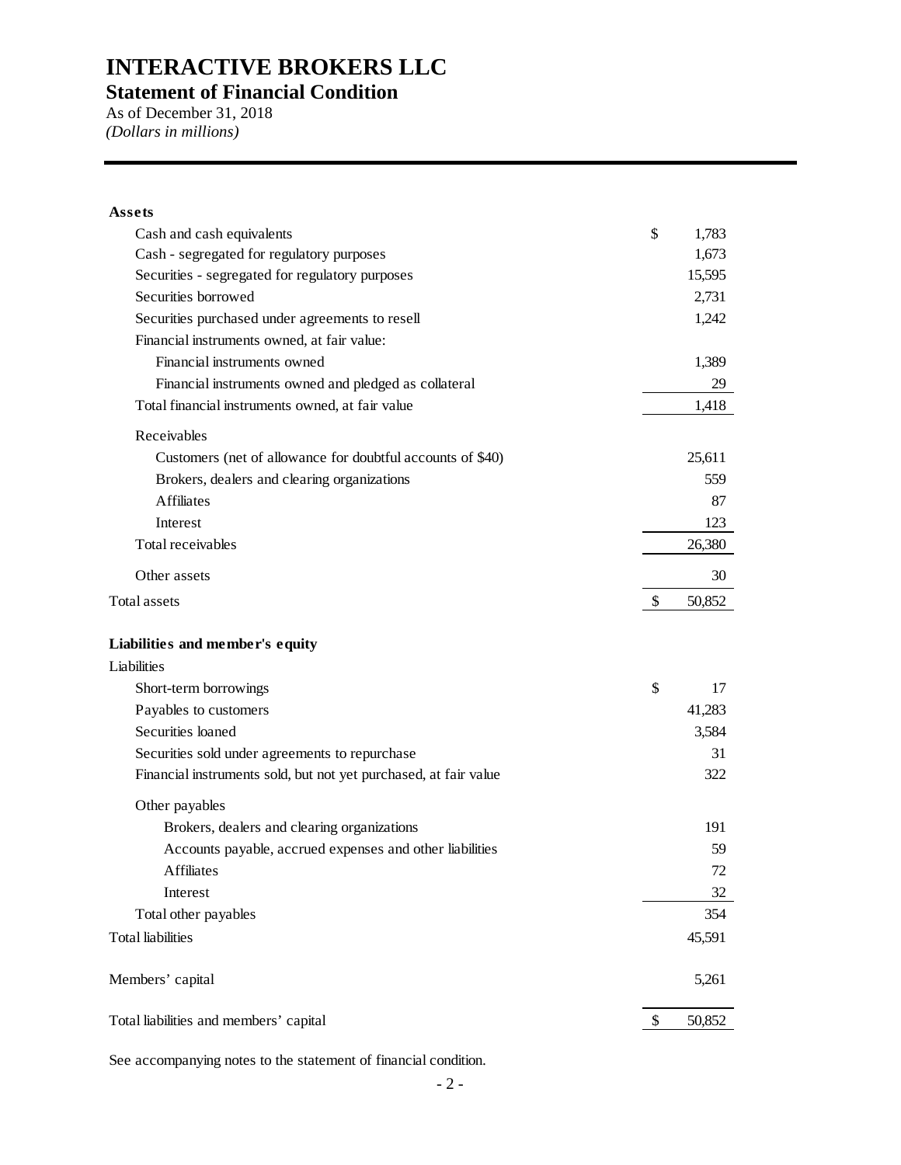**Statement of Financial Condition** 

As of December 31, 2018 *(Dollars in millions)* 

#### **Assets**

| Cash and cash equivalents                                        | \$<br>1,783  |
|------------------------------------------------------------------|--------------|
| Cash - segregated for regulatory purposes                        | 1,673        |
| Securities - segregated for regulatory purposes                  | 15,595       |
| Securities borrowed                                              | 2,731        |
| Securities purchased under agreements to resell                  | 1,242        |
| Financial instruments owned, at fair value:                      |              |
| Financial instruments owned                                      | 1,389        |
| Financial instruments owned and pledged as collateral            | 29           |
| Total financial instruments owned, at fair value                 | 1,418        |
| Receivables                                                      |              |
| Customers (net of allowance for doubtful accounts of \$40)       | 25,611       |
| Brokers, dealers and clearing organizations                      | 559          |
| <b>Affiliates</b>                                                | 87           |
| Interest                                                         | 123          |
| Total receivables                                                | 26,380       |
| Other assets                                                     | 30           |
| <b>Total assets</b>                                              | \$<br>50,852 |
| Liabilities and member's equity                                  |              |
| Liabilities                                                      |              |
| Short-term borrowings                                            | \$<br>17     |
| Payables to customers                                            | 41,283       |
| Securities loaned                                                | 3,584        |
| Securities sold under agreements to repurchase                   | 31           |
| Financial instruments sold, but not yet purchased, at fair value | 322          |
| Other payables                                                   |              |
| Brokers, dealers and clearing organizations                      | 191          |
| Accounts payable, accrued expenses and other liabilities         | 59           |
| <b>Affiliates</b>                                                | 72           |
| Interest                                                         | 32           |
| Total other payables                                             | 354          |
| <b>Total</b> liabilities                                         | 45,591       |
| Members' capital                                                 | 5,261        |
| Total liabilities and members' capital                           | \$<br>50,852 |
|                                                                  |              |

See accompanying notes to the statement of financial condition.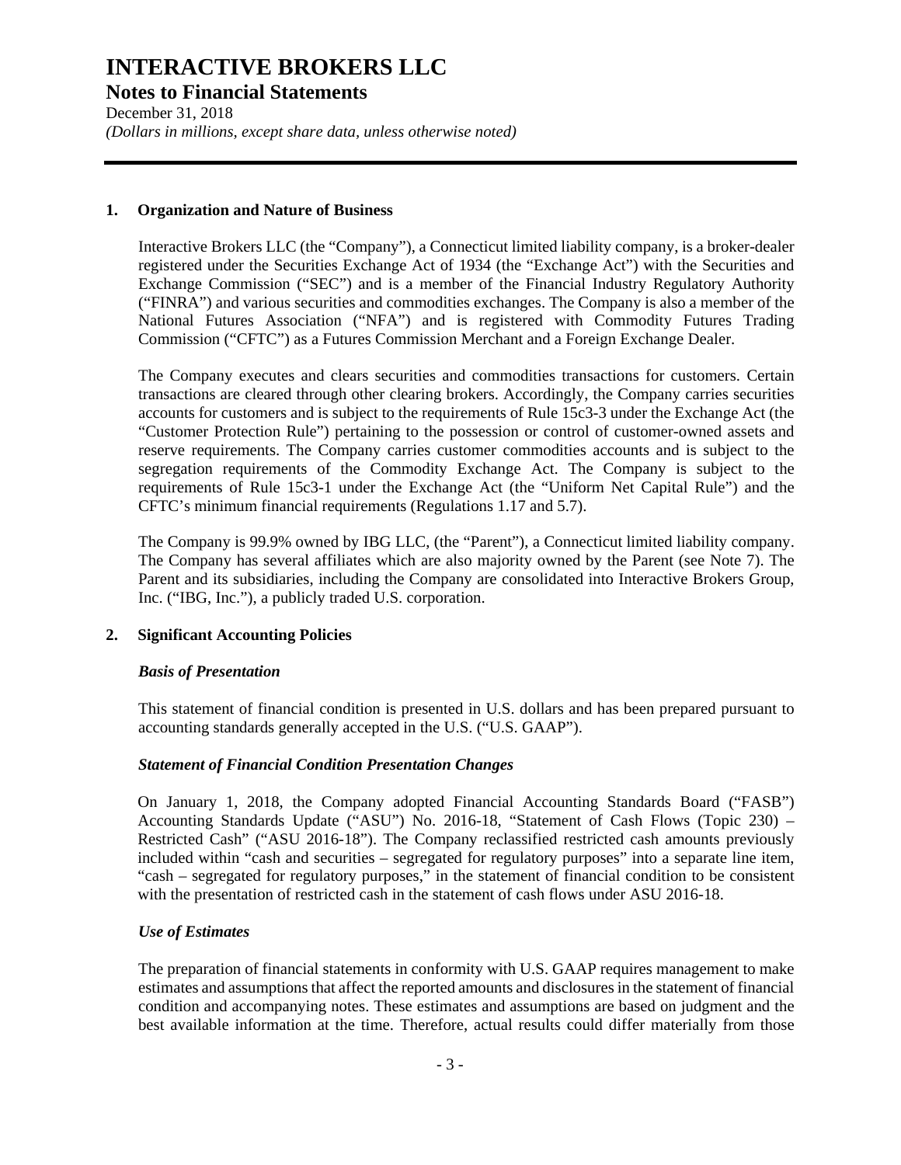**Notes to Financial Statements** 

December 31, 2018 *(Dollars in millions, except share data, unless otherwise noted)* 

#### **1. Organization and Nature of Business**

Interactive Brokers LLC (the "Company"), a Connecticut limited liability company, is a broker-dealer registered under the Securities Exchange Act of 1934 (the "Exchange Act") with the Securities and Exchange Commission ("SEC") and is a member of the Financial Industry Regulatory Authority ("FINRA") and various securities and commodities exchanges. The Company is also a member of the National Futures Association ("NFA") and is registered with Commodity Futures Trading Commission ("CFTC") as a Futures Commission Merchant and a Foreign Exchange Dealer.

The Company executes and clears securities and commodities transactions for customers. Certain transactions are cleared through other clearing brokers. Accordingly, the Company carries securities accounts for customers and is subject to the requirements of Rule 15c3-3 under the Exchange Act (the "Customer Protection Rule") pertaining to the possession or control of customer-owned assets and reserve requirements. The Company carries customer commodities accounts and is subject to the segregation requirements of the Commodity Exchange Act. The Company is subject to the requirements of Rule 15c3-1 under the Exchange Act (the "Uniform Net Capital Rule") and the CFTC's minimum financial requirements (Regulations 1.17 and 5.7).

The Company is 99.9% owned by IBG LLC, (the "Parent"), a Connecticut limited liability company. The Company has several affiliates which are also majority owned by the Parent (see Note 7). The Parent and its subsidiaries, including the Company are consolidated into Interactive Brokers Group, Inc. ("IBG, Inc."), a publicly traded U.S. corporation.

#### **2. Significant Accounting Policies**

#### *Basis of Presentation*

This statement of financial condition is presented in U.S. dollars and has been prepared pursuant to accounting standards generally accepted in the U.S. ("U.S. GAAP").

#### *Statement of Financial Condition Presentation Changes*

On January 1, 2018, the Company adopted Financial Accounting Standards Board ("FASB") Accounting Standards Update ("ASU") No. 2016-18, "Statement of Cash Flows (Topic 230) – Restricted Cash" ("ASU 2016-18"). The Company reclassified restricted cash amounts previously included within "cash and securities – segregated for regulatory purposes" into a separate line item, "cash – segregated for regulatory purposes," in the statement of financial condition to be consistent with the presentation of restricted cash in the statement of cash flows under ASU 2016-18.

#### *Use of Estimates*

The preparation of financial statements in conformity with U.S. GAAP requires management to make estimates and assumptions that affect the reported amounts and disclosures in the statement of financial condition and accompanying notes. These estimates and assumptions are based on judgment and the best available information at the time. Therefore, actual results could differ materially from those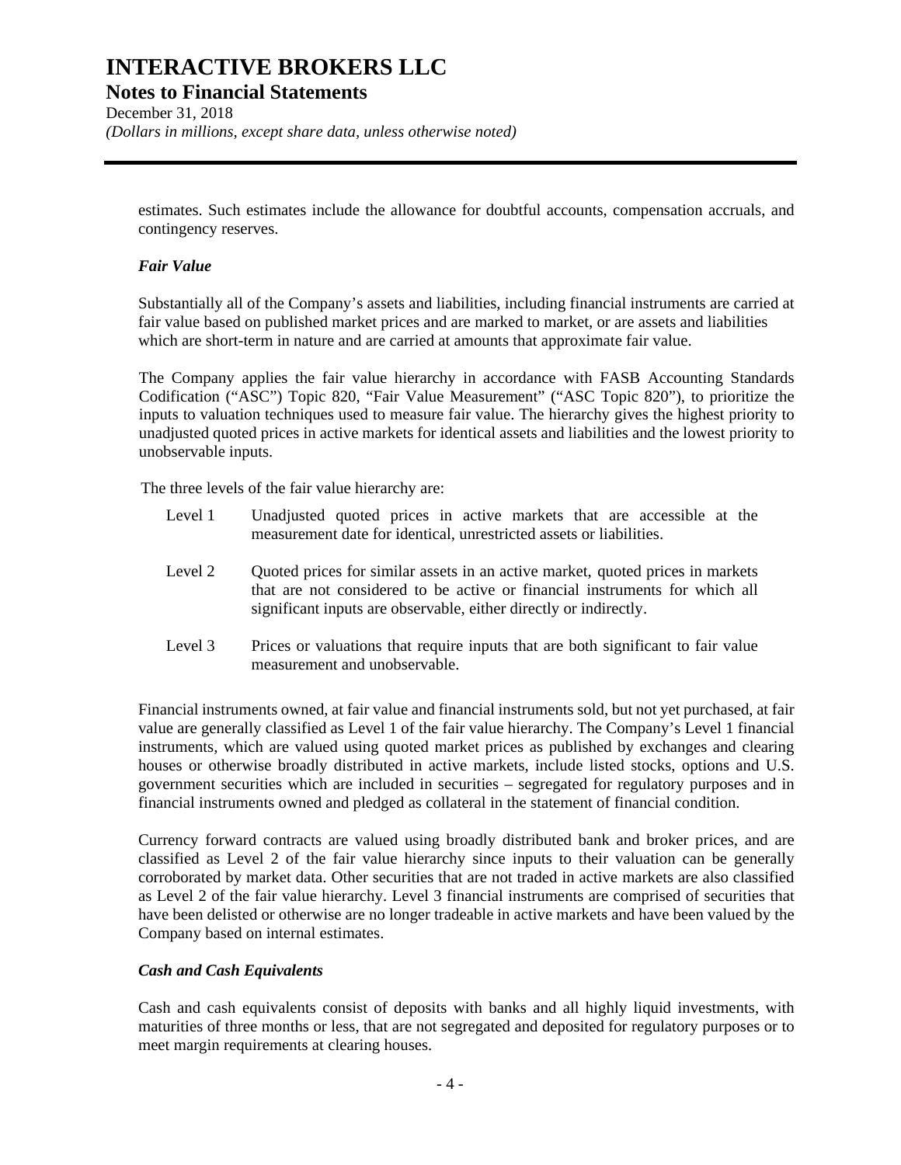### **Notes to Financial Statements**

December 31, 2018 *(Dollars in millions, except share data, unless otherwise noted)* 

estimates. Such estimates include the allowance for doubtful accounts, compensation accruals, and contingency reserves.

#### *Fair Value*

Substantially all of the Company's assets and liabilities, including financial instruments are carried at fair value based on published market prices and are marked to market, or are assets and liabilities which are short-term in nature and are carried at amounts that approximate fair value.

The Company applies the fair value hierarchy in accordance with FASB Accounting Standards Codification ("ASC") Topic 820, "Fair Value Measurement" ("ASC Topic 820"), to prioritize the inputs to valuation techniques used to measure fair value. The hierarchy gives the highest priority to unadjusted quoted prices in active markets for identical assets and liabilities and the lowest priority to unobservable inputs.

The three levels of the fair value hierarchy are:

- Level 1 Unadjusted quoted prices in active markets that are accessible at the measurement date for identical, unrestricted assets or liabilities.
- Level 2 Quoted prices for similar assets in an active market, quoted prices in markets that are not considered to be active or financial instruments for which all significant inputs are observable, either directly or indirectly.
- Level 3 Prices or valuations that require inputs that are both significant to fair value measurement and unobservable.

Financial instruments owned, at fair value and financial instruments sold, but not yet purchased, at fair value are generally classified as Level 1 of the fair value hierarchy. The Company's Level 1 financial instruments, which are valued using quoted market prices as published by exchanges and clearing houses or otherwise broadly distributed in active markets, include listed stocks, options and U.S. government securities which are included in securities – segregated for regulatory purposes and in financial instruments owned and pledged as collateral in the statement of financial condition.

Currency forward contracts are valued using broadly distributed bank and broker prices, and are classified as Level 2 of the fair value hierarchy since inputs to their valuation can be generally corroborated by market data. Other securities that are not traded in active markets are also classified as Level 2 of the fair value hierarchy. Level 3 financial instruments are comprised of securities that have been delisted or otherwise are no longer tradeable in active markets and have been valued by the Company based on internal estimates.

#### *Cash and Cash Equivalents*

Cash and cash equivalents consist of deposits with banks and all highly liquid investments, with maturities of three months or less, that are not segregated and deposited for regulatory purposes or to meet margin requirements at clearing houses.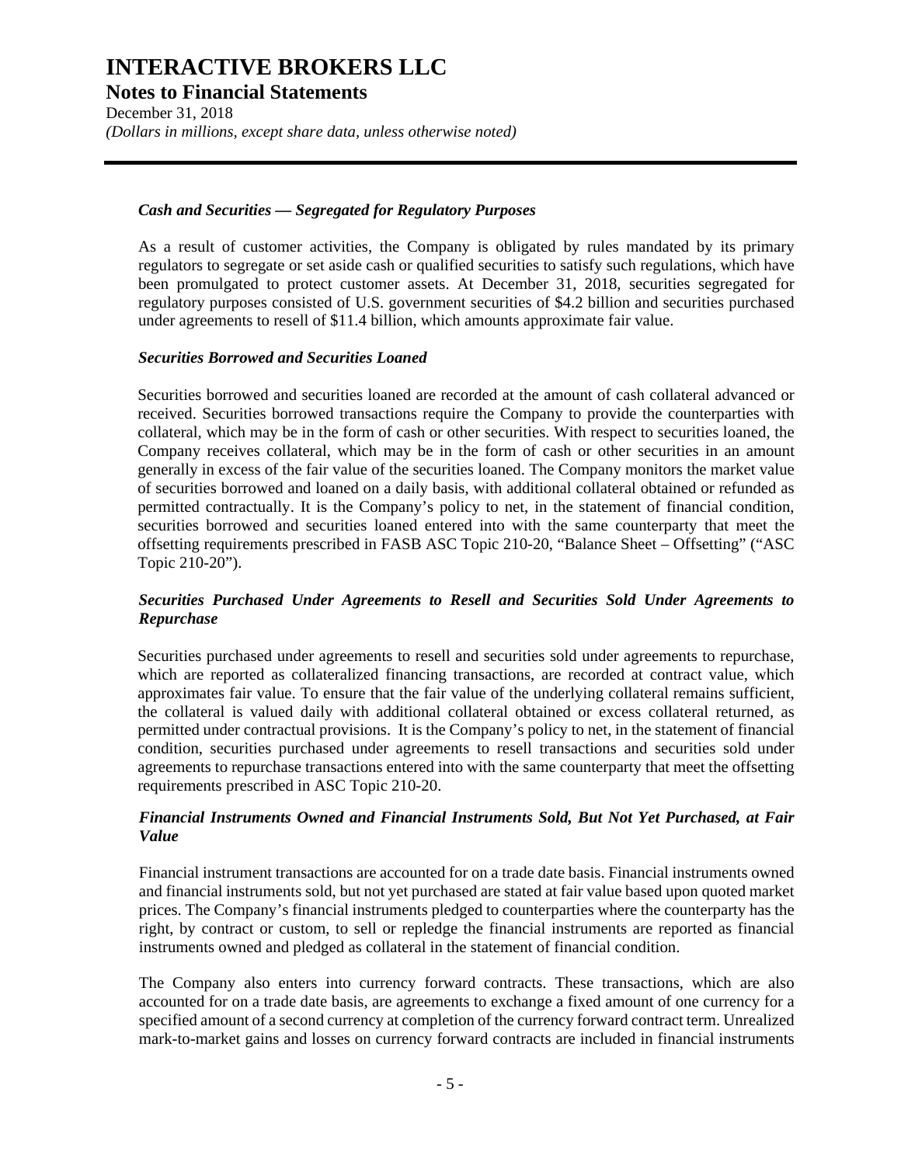**Notes to Financial Statements** 

December 31, 2018 *(Dollars in millions, except share data, unless otherwise noted)* 

#### *Cash and Securities — Segregated for Regulatory Purposes*

As a result of customer activities, the Company is obligated by rules mandated by its primary regulators to segregate or set aside cash or qualified securities to satisfy such regulations, which have been promulgated to protect customer assets. At December 31, 2018, securities segregated for regulatory purposes consisted of U.S. government securities of \$4.2 billion and securities purchased under agreements to resell of \$11.4 billion, which amounts approximate fair value.

#### *Securities Borrowed and Securities Loaned*

Securities borrowed and securities loaned are recorded at the amount of cash collateral advanced or received. Securities borrowed transactions require the Company to provide the counterparties with collateral, which may be in the form of cash or other securities. With respect to securities loaned, the Company receives collateral, which may be in the form of cash or other securities in an amount generally in excess of the fair value of the securities loaned. The Company monitors the market value of securities borrowed and loaned on a daily basis, with additional collateral obtained or refunded as permitted contractually. It is the Company's policy to net, in the statement of financial condition, securities borrowed and securities loaned entered into with the same counterparty that meet the offsetting requirements prescribed in FASB ASC Topic 210-20, "Balance Sheet – Offsetting" ("ASC Topic 210-20").

#### *Securities Purchased Under Agreements to Resell and Securities Sold Under Agreements to Repurchase*

Securities purchased under agreements to resell and securities sold under agreements to repurchase, which are reported as collateralized financing transactions, are recorded at contract value, which approximates fair value. To ensure that the fair value of the underlying collateral remains sufficient, the collateral is valued daily with additional collateral obtained or excess collateral returned, as permitted under contractual provisions. It is the Company's policy to net, in the statement of financial condition, securities purchased under agreements to resell transactions and securities sold under agreements to repurchase transactions entered into with the same counterparty that meet the offsetting requirements prescribed in ASC Topic 210-20.

#### *Financial Instruments Owned and Financial Instruments Sold, But Not Yet Purchased, at Fair Value*

Financial instrument transactions are accounted for on a trade date basis. Financial instruments owned and financial instruments sold, but not yet purchased are stated at fair value based upon quoted market prices. The Company's financial instruments pledged to counterparties where the counterparty has the right, by contract or custom, to sell or repledge the financial instruments are reported as financial instruments owned and pledged as collateral in the statement of financial condition.

The Company also enters into currency forward contracts. These transactions, which are also accounted for on a trade date basis, are agreements to exchange a fixed amount of one currency for a specified amount of a second currency at completion of the currency forward contract term. Unrealized mark-to-market gains and losses on currency forward contracts are included in financial instruments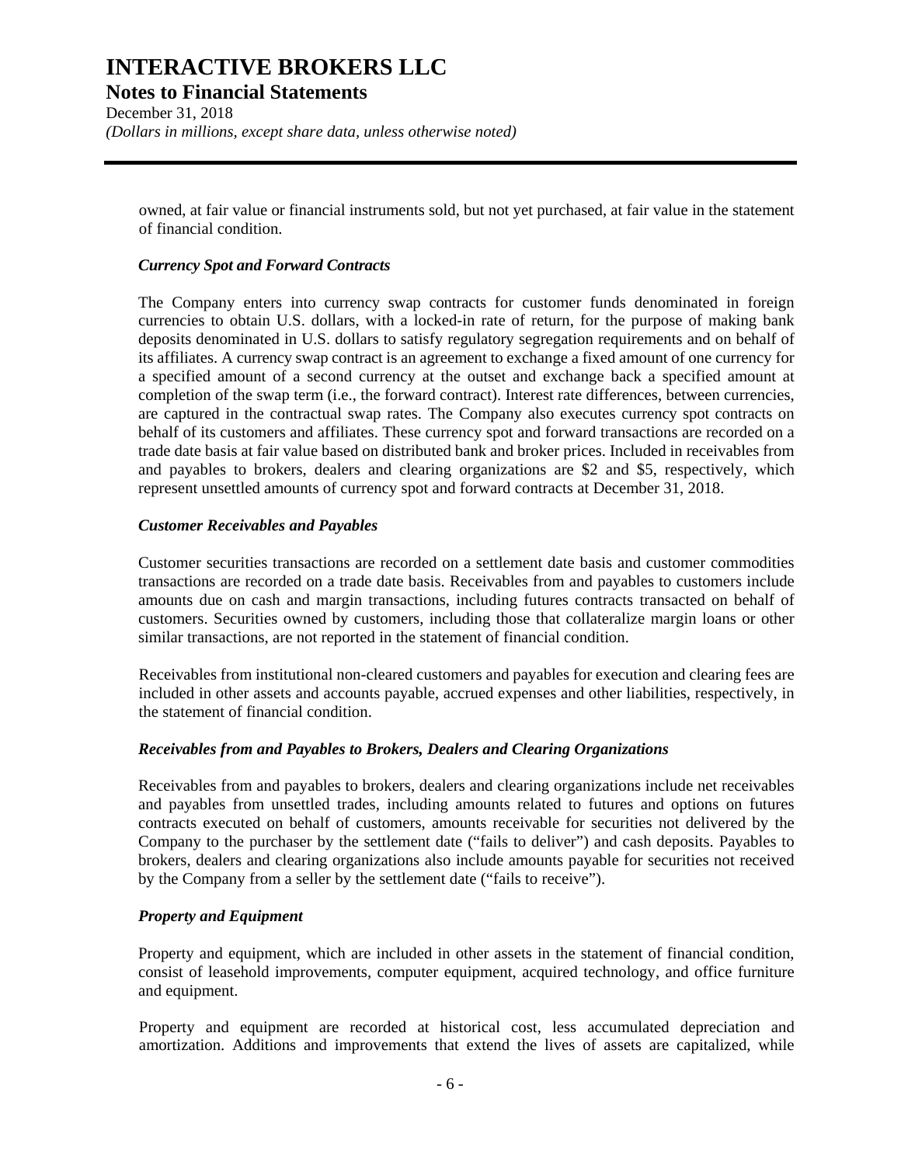**Notes to Financial Statements** 

December 31, 2018 *(Dollars in millions, except share data, unless otherwise noted)* 

owned, at fair value or financial instruments sold, but not yet purchased, at fair value in the statement of financial condition.

#### *Currency Spot and Forward Contracts*

The Company enters into currency swap contracts for customer funds denominated in foreign currencies to obtain U.S. dollars, with a locked-in rate of return, for the purpose of making bank deposits denominated in U.S. dollars to satisfy regulatory segregation requirements and on behalf of its affiliates. A currency swap contract is an agreement to exchange a fixed amount of one currency for a specified amount of a second currency at the outset and exchange back a specified amount at completion of the swap term (i.e., the forward contract). Interest rate differences, between currencies, are captured in the contractual swap rates. The Company also executes currency spot contracts on behalf of its customers and affiliates. These currency spot and forward transactions are recorded on a trade date basis at fair value based on distributed bank and broker prices. Included in receivables from and payables to brokers, dealers and clearing organizations are \$2 and \$5, respectively, which represent unsettled amounts of currency spot and forward contracts at December 31, 2018.

#### *Customer Receivables and Payables*

Customer securities transactions are recorded on a settlement date basis and customer commodities transactions are recorded on a trade date basis. Receivables from and payables to customers include amounts due on cash and margin transactions, including futures contracts transacted on behalf of customers. Securities owned by customers, including those that collateralize margin loans or other similar transactions, are not reported in the statement of financial condition.

Receivables from institutional non-cleared customers and payables for execution and clearing fees are included in other assets and accounts payable, accrued expenses and other liabilities, respectively, in the statement of financial condition.

#### *Receivables from and Payables to Brokers, Dealers and Clearing Organizations*

Receivables from and payables to brokers, dealers and clearing organizations include net receivables and payables from unsettled trades, including amounts related to futures and options on futures contracts executed on behalf of customers, amounts receivable for securities not delivered by the Company to the purchaser by the settlement date ("fails to deliver") and cash deposits. Payables to brokers, dealers and clearing organizations also include amounts payable for securities not received by the Company from a seller by the settlement date ("fails to receive").

#### *Property and Equipment*

Property and equipment, which are included in other assets in the statement of financial condition, consist of leasehold improvements, computer equipment, acquired technology, and office furniture and equipment.

Property and equipment are recorded at historical cost, less accumulated depreciation and amortization. Additions and improvements that extend the lives of assets are capitalized, while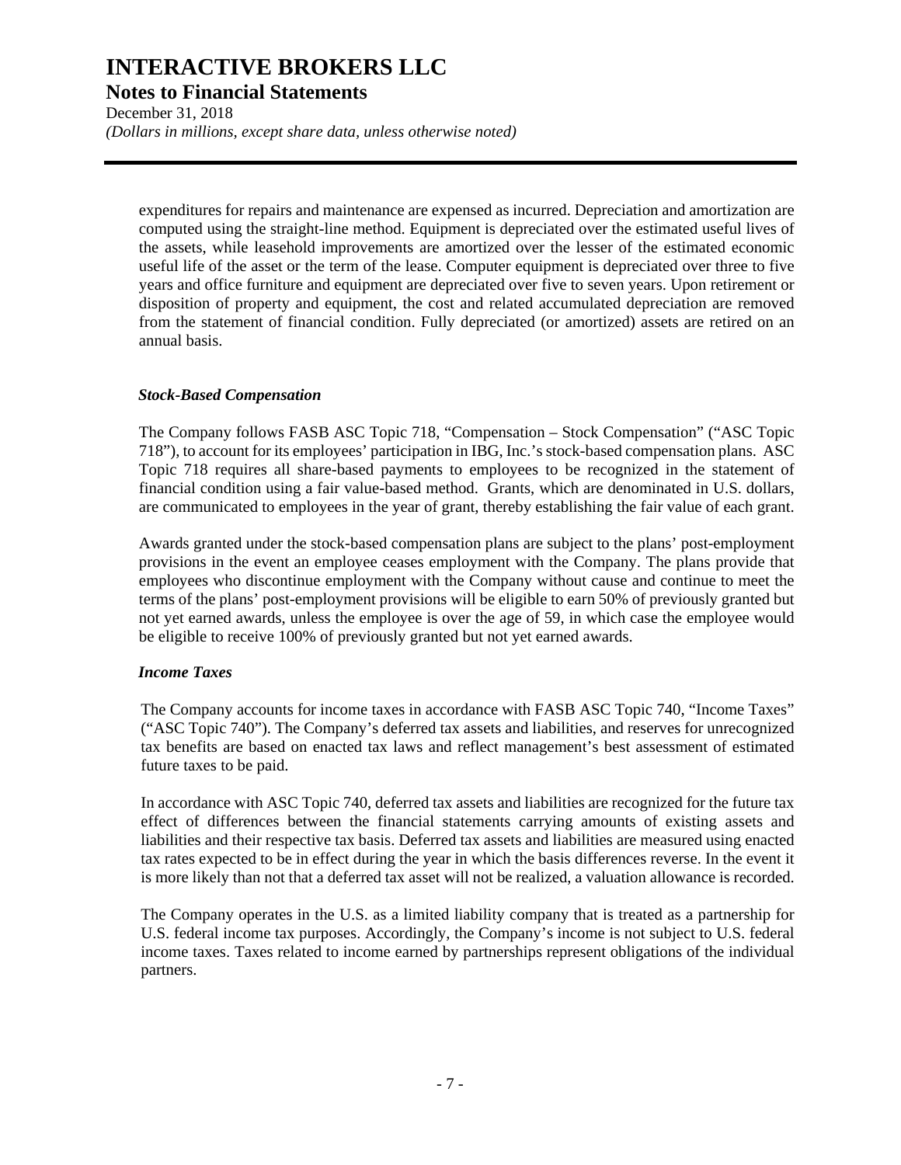**Notes to Financial Statements** 

December 31, 2018 *(Dollars in millions, except share data, unless otherwise noted)* 

expenditures for repairs and maintenance are expensed as incurred. Depreciation and amortization are computed using the straight-line method. Equipment is depreciated over the estimated useful lives of the assets, while leasehold improvements are amortized over the lesser of the estimated economic useful life of the asset or the term of the lease. Computer equipment is depreciated over three to five years and office furniture and equipment are depreciated over five to seven years. Upon retirement or disposition of property and equipment, the cost and related accumulated depreciation are removed from the statement of financial condition. Fully depreciated (or amortized) assets are retired on an annual basis.

#### *Stock-Based Compensation*

The Company follows FASB ASC Topic 718, "Compensation – Stock Compensation" ("ASC Topic 718"), to account for its employees' participation in IBG, Inc.'s stock-based compensation plans. ASC Topic 718 requires all share-based payments to employees to be recognized in the statement of financial condition using a fair value-based method. Grants, which are denominated in U.S. dollars, are communicated to employees in the year of grant, thereby establishing the fair value of each grant.

Awards granted under the stock-based compensation plans are subject to the plans' post-employment provisions in the event an employee ceases employment with the Company. The plans provide that employees who discontinue employment with the Company without cause and continue to meet the terms of the plans' post-employment provisions will be eligible to earn 50% of previously granted but not yet earned awards, unless the employee is over the age of 59, in which case the employee would be eligible to receive 100% of previously granted but not yet earned awards.

#### *Income Taxes*

The Company accounts for income taxes in accordance with FASB ASC Topic 740, "Income Taxes" ("ASC Topic 740"). The Company's deferred tax assets and liabilities, and reserves for unrecognized tax benefits are based on enacted tax laws and reflect management's best assessment of estimated future taxes to be paid.

In accordance with ASC Topic 740, deferred tax assets and liabilities are recognized for the future tax effect of differences between the financial statements carrying amounts of existing assets and liabilities and their respective tax basis. Deferred tax assets and liabilities are measured using enacted tax rates expected to be in effect during the year in which the basis differences reverse. In the event it is more likely than not that a deferred tax asset will not be realized, a valuation allowance is recorded.

The Company operates in the U.S. as a limited liability company that is treated as a partnership for U.S. federal income tax purposes. Accordingly, the Company's income is not subject to U.S. federal income taxes. Taxes related to income earned by partnerships represent obligations of the individual partners.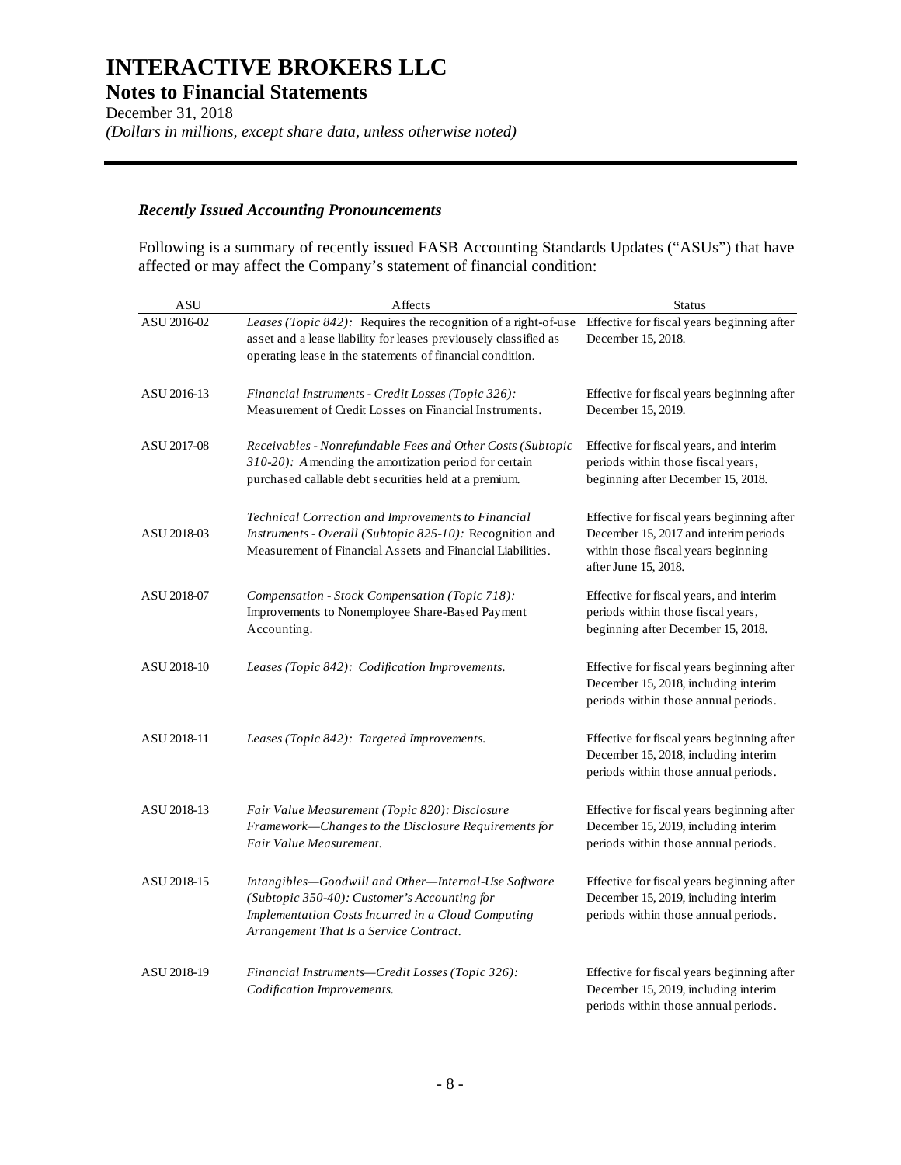**Notes to Financial Statements** 

December 31, 2018 *(Dollars in millions, except share data, unless otherwise noted)* 

#### *Recently Issued Accounting Pronouncements*

Following is a summary of recently issued FASB Accounting Standards Updates ("ASUs") that have affected or may affect the Company's statement of financial condition:

| <b>ASU</b>  | Affects                                                                                                                                                                                                                                    | <b>Status</b>                                                                                                                                     |
|-------------|--------------------------------------------------------------------------------------------------------------------------------------------------------------------------------------------------------------------------------------------|---------------------------------------------------------------------------------------------------------------------------------------------------|
| ASU 2016-02 | Leases (Topic 842): Requires the recognition of a right-of-use Effective for fiscal years beginning after<br>asset and a lease liability for leases previousely classified as<br>operating lease in the statements of financial condition. | December 15, 2018.                                                                                                                                |
| ASU 2016-13 | Financial Instruments - Credit Losses (Topic 326):<br>Measurement of Credit Losses on Financial Instruments.                                                                                                                               | Effective for fiscal years beginning after<br>December 15, 2019.                                                                                  |
| ASU 2017-08 | Receivables - Nonrefundable Fees and Other Costs (Subtopic<br>$310-20$ ): A mending the amortization period for certain<br>purchased callable debt securities held at a premium.                                                           | Effective for fiscal years, and interim<br>periods within those fiscal years,<br>beginning after December 15, 2018.                               |
| ASU 2018-03 | Technical Correction and Improvements to Financial<br>Instruments - Overall (Subtopic 825-10): Recognition and<br>Measurement of Financial Assets and Financial Liabilities.                                                               | Effective for fiscal years beginning after<br>December 15, 2017 and interimperiods<br>within those fiscal years beginning<br>after June 15, 2018. |
| ASU 2018-07 | Compensation - Stock Compensation (Topic 718):<br>Improvements to Nonemployee Share-Based Payment<br>Accounting.                                                                                                                           | Effective for fiscal years, and interim<br>periods within those fiscal years,<br>beginning after December 15, 2018.                               |
| ASU 2018-10 | Leases (Topic 842): Codification Improvements.                                                                                                                                                                                             | Effective for fiscal years beginning after<br>December 15, 2018, including interim<br>periods within those annual periods.                        |
| ASU 2018-11 | Leases (Topic 842): Targeted Improvements.                                                                                                                                                                                                 | Effective for fiscal years beginning after<br>December 15, 2018, including interim<br>periods within those annual periods.                        |
| ASU 2018-13 | Fair Value Measurement (Topic 820): Disclosure<br>Framework-Changes to the Disclosure Requirements for<br>Fair Value Measurement.                                                                                                          | Effective for fiscal years beginning after<br>December 15, 2019, including interim<br>periods within those annual periods.                        |
| ASU 2018-15 | Intangibles-Goodwill and Other-Internal-Use Software<br>(Subtopic 350-40): Customer's Accounting for<br>Implementation Costs Incurred in a Cloud Computing<br>Arrangement That Is a Service Contract.                                      | Effective for fiscal years beginning after<br>December 15, 2019, including interim<br>periods within those annual periods.                        |
| ASU 2018-19 | Financial Instruments-Credit Losses (Topic 326):<br>Codification Improvements.                                                                                                                                                             | Effective for fiscal years beginning after<br>December 15, 2019, including interim<br>periods within those annual periods.                        |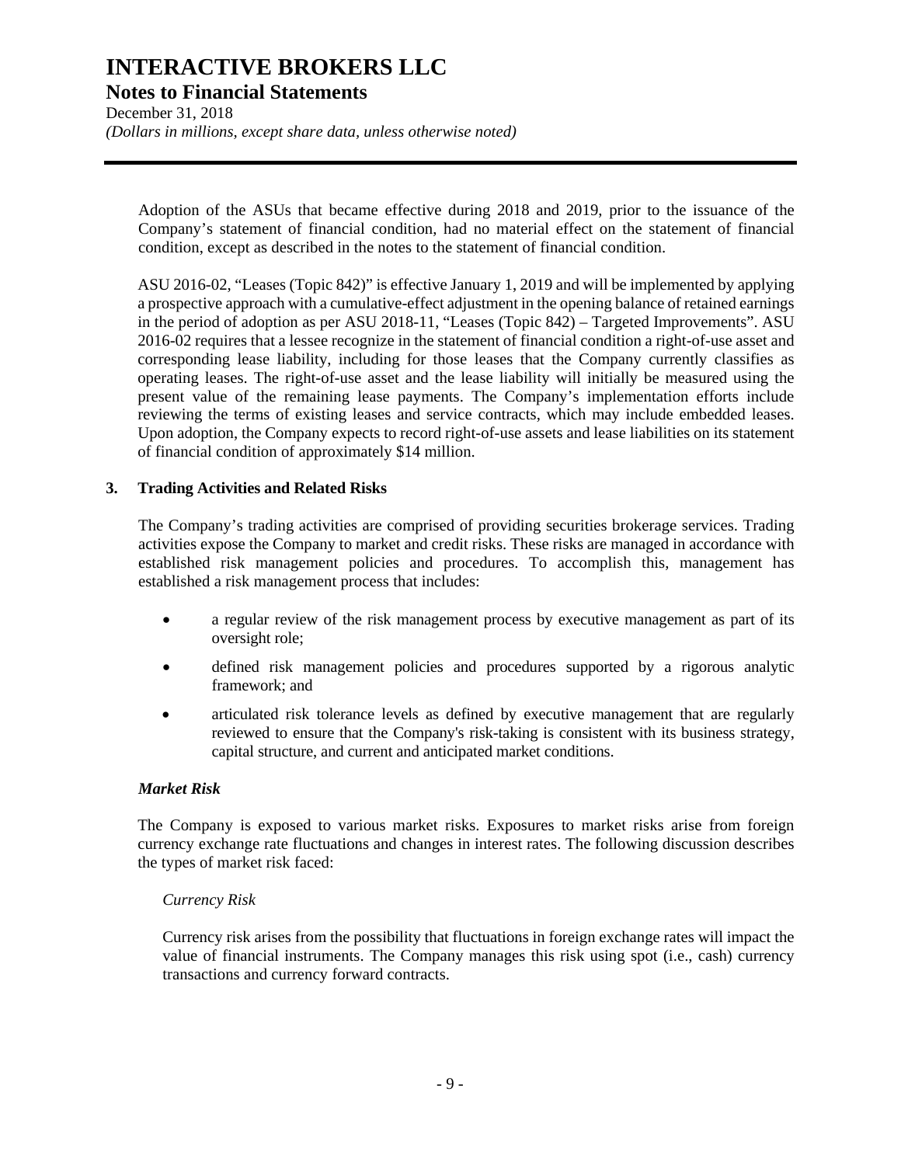**Notes to Financial Statements** 

December 31, 2018 *(Dollars in millions, except share data, unless otherwise noted)* 

Adoption of the ASUs that became effective during 2018 and 2019, prior to the issuance of the Company's statement of financial condition, had no material effect on the statement of financial condition, except as described in the notes to the statement of financial condition.

ASU 2016-02, "Leases (Topic 842)" is effective January 1, 2019 and will be implemented by applying a prospective approach with a cumulative-effect adjustment in the opening balance of retained earnings in the period of adoption as per ASU 2018-11, "Leases (Topic 842) – Targeted Improvements". ASU 2016-02 requires that a lessee recognize in the statement of financial condition a right-of-use asset and corresponding lease liability, including for those leases that the Company currently classifies as operating leases. The right-of-use asset and the lease liability will initially be measured using the present value of the remaining lease payments. The Company's implementation efforts include reviewing the terms of existing leases and service contracts, which may include embedded leases. Upon adoption, the Company expects to record right-of-use assets and lease liabilities on its statement of financial condition of approximately \$14 million.

#### **3. Trading Activities and Related Risks**

The Company's trading activities are comprised of providing securities brokerage services. Trading activities expose the Company to market and credit risks. These risks are managed in accordance with established risk management policies and procedures. To accomplish this, management has established a risk management process that includes:

- a regular review of the risk management process by executive management as part of its oversight role;
- defined risk management policies and procedures supported by a rigorous analytic framework; and
- articulated risk tolerance levels as defined by executive management that are regularly reviewed to ensure that the Company's risk-taking is consistent with its business strategy, capital structure, and current and anticipated market conditions.

#### *Market Risk*

The Company is exposed to various market risks. Exposures to market risks arise from foreign currency exchange rate fluctuations and changes in interest rates. The following discussion describes the types of market risk faced:

#### *Currency Risk*

Currency risk arises from the possibility that fluctuations in foreign exchange rates will impact the value of financial instruments. The Company manages this risk using spot (i.e., cash) currency transactions and currency forward contracts.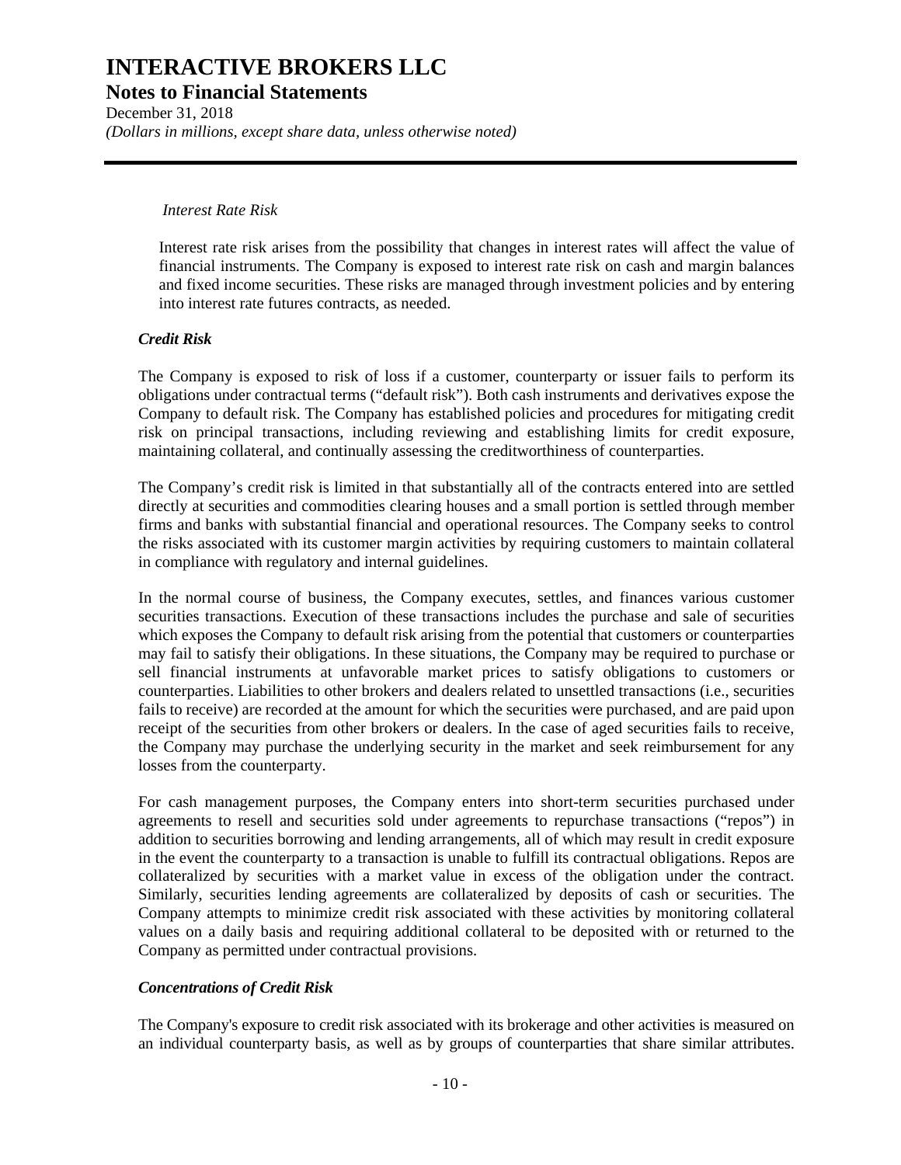**Notes to Financial Statements** 

December 31, 2018 *(Dollars in millions, except share data, unless otherwise noted)* 

#### *Interest Rate Risk*

Interest rate risk arises from the possibility that changes in interest rates will affect the value of financial instruments. The Company is exposed to interest rate risk on cash and margin balances and fixed income securities. These risks are managed through investment policies and by entering into interest rate futures contracts, as needed.

#### *Credit Risk*

The Company is exposed to risk of loss if a customer, counterparty or issuer fails to perform its obligations under contractual terms ("default risk"). Both cash instruments and derivatives expose the Company to default risk. The Company has established policies and procedures for mitigating credit risk on principal transactions, including reviewing and establishing limits for credit exposure, maintaining collateral, and continually assessing the creditworthiness of counterparties.

The Company's credit risk is limited in that substantially all of the contracts entered into are settled directly at securities and commodities clearing houses and a small portion is settled through member firms and banks with substantial financial and operational resources. The Company seeks to control the risks associated with its customer margin activities by requiring customers to maintain collateral in compliance with regulatory and internal guidelines.

In the normal course of business, the Company executes, settles, and finances various customer securities transactions. Execution of these transactions includes the purchase and sale of securities which exposes the Company to default risk arising from the potential that customers or counterparties may fail to satisfy their obligations. In these situations, the Company may be required to purchase or sell financial instruments at unfavorable market prices to satisfy obligations to customers or counterparties. Liabilities to other brokers and dealers related to unsettled transactions (i.e., securities fails to receive) are recorded at the amount for which the securities were purchased, and are paid upon receipt of the securities from other brokers or dealers. In the case of aged securities fails to receive, the Company may purchase the underlying security in the market and seek reimbursement for any losses from the counterparty.

For cash management purposes, the Company enters into short-term securities purchased under agreements to resell and securities sold under agreements to repurchase transactions ("repos") in addition to securities borrowing and lending arrangements, all of which may result in credit exposure in the event the counterparty to a transaction is unable to fulfill its contractual obligations. Repos are collateralized by securities with a market value in excess of the obligation under the contract. Similarly, securities lending agreements are collateralized by deposits of cash or securities. The Company attempts to minimize credit risk associated with these activities by monitoring collateral values on a daily basis and requiring additional collateral to be deposited with or returned to the Company as permitted under contractual provisions.

#### *Concentrations of Credit Risk*

The Company's exposure to credit risk associated with its brokerage and other activities is measured on an individual counterparty basis, as well as by groups of counterparties that share similar attributes.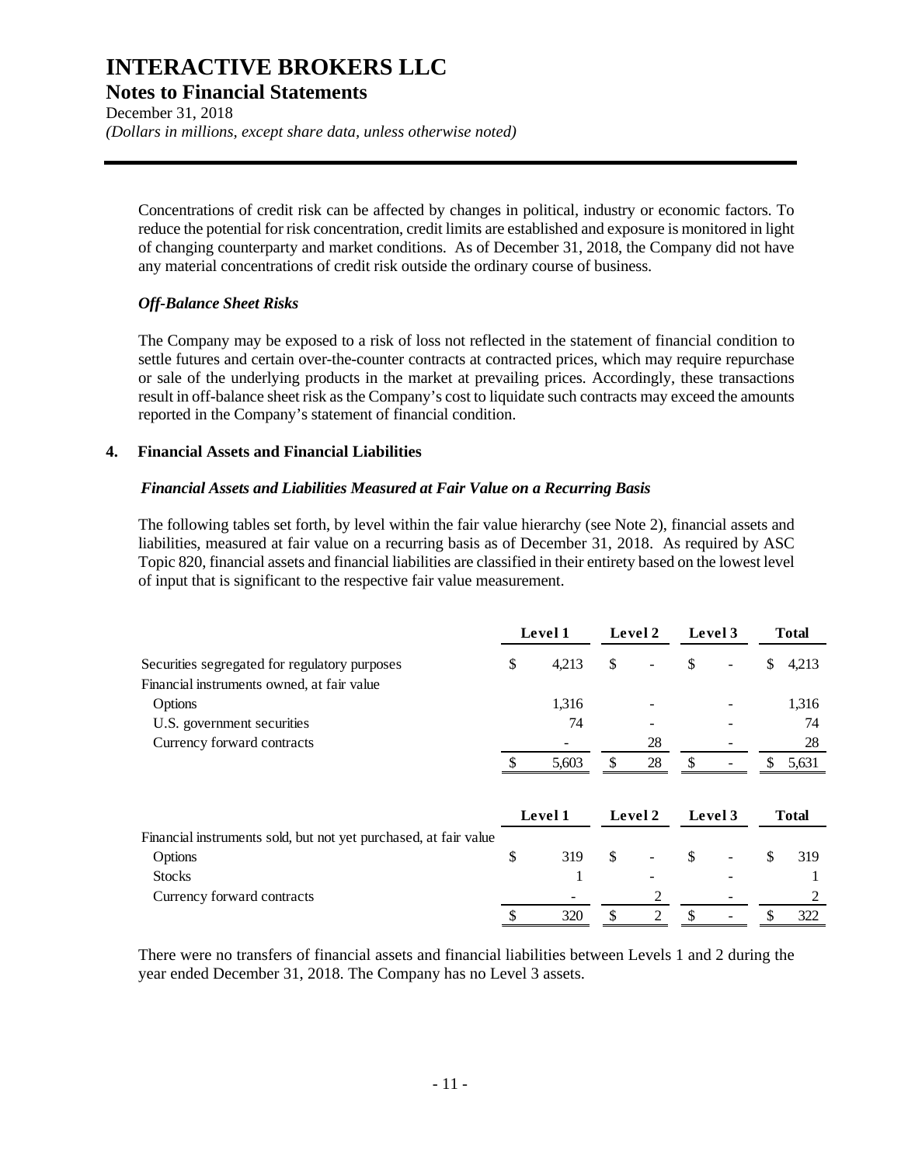**Notes to Financial Statements** 

December 31, 2018 *(Dollars in millions, except share data, unless otherwise noted)* 

Concentrations of credit risk can be affected by changes in political, industry or economic factors. To reduce the potential for risk concentration, credit limits are established and exposure is monitored in light of changing counterparty and market conditions. As of December 31, 2018, the Company did not have any material concentrations of credit risk outside the ordinary course of business.

#### *Off-Balance Sheet Risks*

The Company may be exposed to a risk of loss not reflected in the statement of financial condition to settle futures and certain over-the-counter contracts at contracted prices, which may require repurchase or sale of the underlying products in the market at prevailing prices. Accordingly, these transactions result in off-balance sheet risk as the Company's cost to liquidate such contracts may exceed the amounts reported in the Company's statement of financial condition.

#### **4. Financial Assets and Financial Liabilities**

#### *Financial Assets and Liabilities Measured at Fair Value on a Recurring Basis*

The following tables set forth, by level within the fair value hierarchy (see Note 2), financial assets and liabilities, measured at fair value on a recurring basis as of December 31, 2018. As required by ASC Topic 820, financial assets and financial liabilities are classified in their entirety based on the lowest level of input that is significant to the respective fair value measurement.

|                                                                  | Level 1     | Level 2  | Level 3 |    | <b>Total</b> |
|------------------------------------------------------------------|-------------|----------|---------|----|--------------|
| Securities segregated for regulatory purposes                    | \$<br>4,213 | \$       | \$<br>۰ | \$ | 4,213        |
| Financial instruments owned, at fair value                       |             |          |         |    |              |
| Options                                                          | 1,316       |          |         |    | 1,316        |
| U.S. government securities                                       | 74          |          |         |    | 74           |
| Currency forward contracts                                       |             | 28       |         |    | 28           |
|                                                                  | 5,603       | \$<br>28 |         | S. | 5,631        |
|                                                                  | Level 1     | Level 2  | Level 3 |    | <b>Total</b> |
| Financial instruments sold, but not yet purchased, at fair value |             |          |         |    |              |
| Options                                                          | \$<br>319   | \$       | \$<br>۰ | \$ | 319          |
| <b>Stocks</b>                                                    |             |          |         |    |              |
| Currency forward contracts                                       |             | 2        |         |    | 2            |
|                                                                  | \$<br>320   | \$<br>2  | \$      | \$ | 322          |

There were no transfers of financial assets and financial liabilities between Levels 1 and 2 during the year ended December 31, 2018. The Company has no Level 3 assets.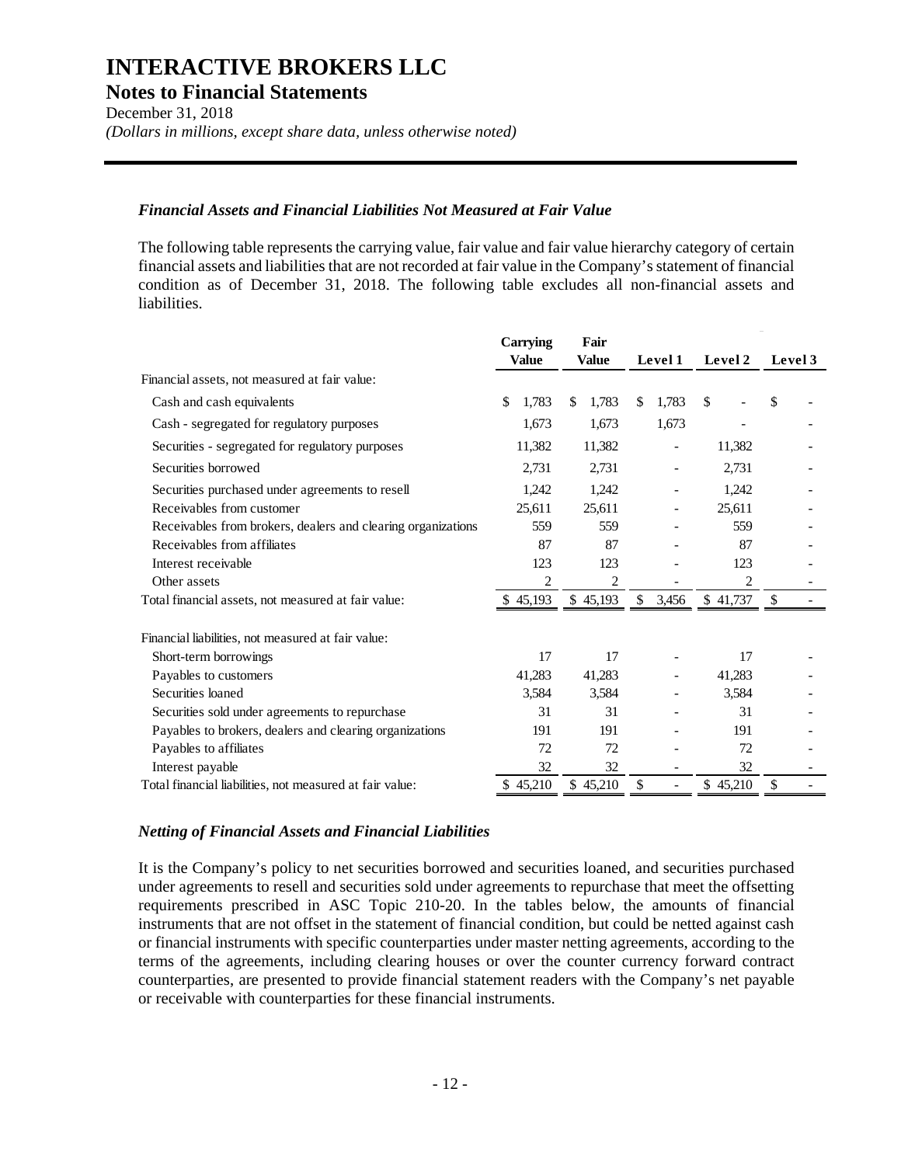**Notes to Financial Statements** 

December 31, 2018 *(Dollars in millions, except share data, unless otherwise noted)* 

#### *Financial Assets and Financial Liabilities Not Measured at Fair Value*

The following table represents the carrying value, fair value and fair value hierarchy category of certain financial assets and liabilities that are not recorded at fair value in the Company's statement of financial condition as of December 31, 2018. The following table excludes all non-financial assets and liabilities.

|                                                              | <b>Carrying</b> | Fair         |             |                |               |
|--------------------------------------------------------------|-----------------|--------------|-------------|----------------|---------------|
|                                                              | <b>Value</b>    | <b>Value</b> | Level 1     | Level 2        | Level 3       |
| Financial assets, not measured at fair value:                |                 |              |             |                |               |
| Cash and cash equivalents                                    | \$<br>1,783     | \$<br>1,783  | 1,783<br>\$ | $\mathcal{S}$  | \$            |
| Cash - segregated for regulatory purposes                    | 1,673           | 1,673        | 1,673       |                |               |
| Securities - segregated for regulatory purposes              | 11,382          | 11,382       |             | 11,382         |               |
| Securities borrowed                                          | 2,731           | 2,731        |             | 2,731          |               |
| Securities purchased under agreements to resell              | 1,242           | 1,242        |             | 1,242          |               |
| Receivables from customer                                    | 25,611          | 25,611       |             | 25,611         |               |
| Receivables from brokers, dealers and clearing organizations | 559             | 559          |             | 559            |               |
| Receivables from affiliates                                  | 87              | 87           |             | 87             |               |
| Interest receivable                                          | 123             | 123          |             | 123            |               |
| Other assets                                                 | $\overline{2}$  | 2            |             | $\overline{c}$ |               |
| Total financial assets, not measured at fair value:          | \$45,193        | \$45,193     | \$<br>3,456 | \$41,737       | <sup>\$</sup> |
| Financial liabilities, not measured at fair value:           |                 |              |             |                |               |
| Short-term borrowings                                        | 17              | 17           |             | 17             |               |
| Payables to customers                                        | 41,283          | 41,283       |             | 41,283         |               |
| Securities loaned                                            | 3.584           | 3.584        |             | 3,584          |               |
| Securities sold under agreements to repurchase               | 31              | 31           |             | 31             |               |
| Payables to brokers, dealers and clearing organizations      | 191             | 191          |             | 191            |               |
| Payables to affiliates                                       | 72              | 72           |             | 72             |               |
| Interest payable                                             | 32              | 32           |             | 32             |               |
| Total financial liabilities, not measured at fair value:     | \$45,210        | \$45,210     | \$          | \$45,210       | \$            |

#### *Netting of Financial Assets and Financial Liabilities*

It is the Company's policy to net securities borrowed and securities loaned, and securities purchased under agreements to resell and securities sold under agreements to repurchase that meet the offsetting requirements prescribed in ASC Topic 210-20. In the tables below, the amounts of financial instruments that are not offset in the statement of financial condition, but could be netted against cash or financial instruments with specific counterparties under master netting agreements, according to the terms of the agreements, including clearing houses or over the counter currency forward contract counterparties, are presented to provide financial statement readers with the Company's net payable or receivable with counterparties for these financial instruments.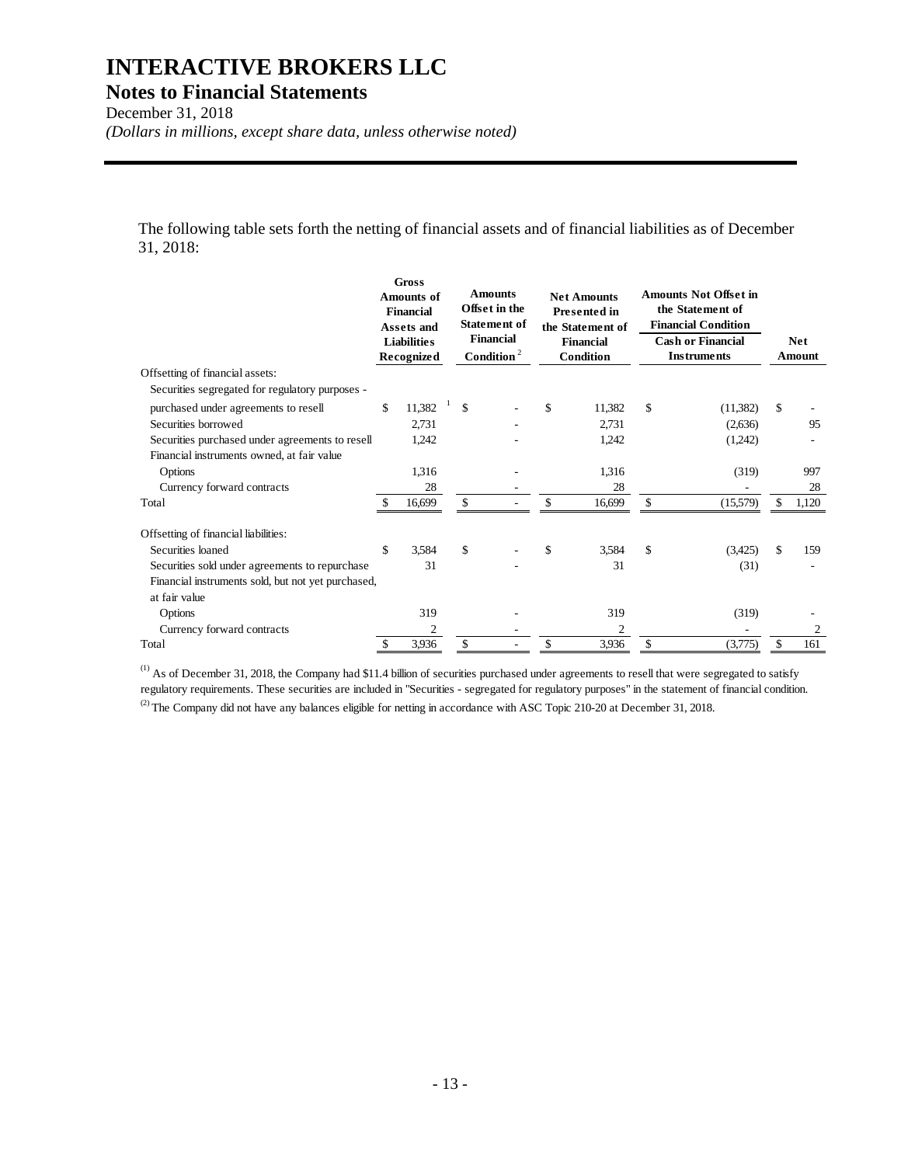**Notes to Financial Statements** 

December 31, 2018

*(Dollars in millions, except share data, unless otherwise noted)* 

The following table sets forth the netting of financial assets and of financial liabilities as of December 31, 2018:

|                                                    | <b>Gross</b><br><b>Amounts of</b><br><b>Financial</b><br>Assets and<br><b>Liabilities</b><br><b>Recognized</b> |                |     |  |     |        |    |          |           |  |  |  |  |  |  |  |  |  |  |  |  |  |  |  |  |  |  |  |  |  | <b>Amounts</b><br>Offset in the<br><b>Statement of</b><br><b>Financial</b><br>Condition $2$ |  | <b>Net Amounts</b><br><b>Presented in</b><br>the Statement of<br><b>Financial</b><br>Condition |  |  |  | <b>Amounts Not Offset in</b><br>the Statement of<br><b>Financial Condition</b><br><b>Cash or Financial</b> |  | <b>Instruments</b> |  | <b>Net</b><br>Amount |
|----------------------------------------------------|----------------------------------------------------------------------------------------------------------------|----------------|-----|--|-----|--------|----|----------|-----------|--|--|--|--|--|--|--|--|--|--|--|--|--|--|--|--|--|--|--|--|--|---------------------------------------------------------------------------------------------|--|------------------------------------------------------------------------------------------------|--|--|--|------------------------------------------------------------------------------------------------------------|--|--------------------|--|----------------------|
| Offsetting of financial assets:                    |                                                                                                                |                |     |  |     |        |    |          |           |  |  |  |  |  |  |  |  |  |  |  |  |  |  |  |  |  |  |  |  |  |                                                                                             |  |                                                                                                |  |  |  |                                                                                                            |  |                    |  |                      |
| Securities segregated for regulatory purposes -    |                                                                                                                |                |     |  |     |        |    |          |           |  |  |  |  |  |  |  |  |  |  |  |  |  |  |  |  |  |  |  |  |  |                                                                                             |  |                                                                                                |  |  |  |                                                                                                            |  |                    |  |                      |
| purchased under agreements to resell               | \$                                                                                                             | 11,382         | \$  |  | \$. | 11,382 | \$ | (11,382) | \$        |  |  |  |  |  |  |  |  |  |  |  |  |  |  |  |  |  |  |  |  |  |                                                                                             |  |                                                                                                |  |  |  |                                                                                                            |  |                    |  |                      |
| Securities borrowed                                |                                                                                                                | 2,731          |     |  |     | 2,731  |    | (2,636)  | 95        |  |  |  |  |  |  |  |  |  |  |  |  |  |  |  |  |  |  |  |  |  |                                                                                             |  |                                                                                                |  |  |  |                                                                                                            |  |                    |  |                      |
| Securities purchased under agreements to resell    |                                                                                                                | 1,242          |     |  |     | 1,242  |    | (1,242)  |           |  |  |  |  |  |  |  |  |  |  |  |  |  |  |  |  |  |  |  |  |  |                                                                                             |  |                                                                                                |  |  |  |                                                                                                            |  |                    |  |                      |
| Financial instruments owned, at fair value         |                                                                                                                |                |     |  |     |        |    |          |           |  |  |  |  |  |  |  |  |  |  |  |  |  |  |  |  |  |  |  |  |  |                                                                                             |  |                                                                                                |  |  |  |                                                                                                            |  |                    |  |                      |
| Options                                            |                                                                                                                | 1,316          |     |  |     | 1,316  |    | (319)    | 997       |  |  |  |  |  |  |  |  |  |  |  |  |  |  |  |  |  |  |  |  |  |                                                                                             |  |                                                                                                |  |  |  |                                                                                                            |  |                    |  |                      |
| Currency forward contracts                         |                                                                                                                | 28             |     |  |     | 28     |    |          | 28        |  |  |  |  |  |  |  |  |  |  |  |  |  |  |  |  |  |  |  |  |  |                                                                                             |  |                                                                                                |  |  |  |                                                                                                            |  |                    |  |                      |
| Total                                              | S                                                                                                              | 16,699         | \$. |  |     | 16,699 | \$ | (15,579) | 1,120     |  |  |  |  |  |  |  |  |  |  |  |  |  |  |  |  |  |  |  |  |  |                                                                                             |  |                                                                                                |  |  |  |                                                                                                            |  |                    |  |                      |
| Offsetting of financial liabilities:               |                                                                                                                |                |     |  |     |        |    |          |           |  |  |  |  |  |  |  |  |  |  |  |  |  |  |  |  |  |  |  |  |  |                                                                                             |  |                                                                                                |  |  |  |                                                                                                            |  |                    |  |                      |
| Securities loaned                                  | \$                                                                                                             | 3,584          | \$  |  | \$. | 3,584  | \$ | (3,425)  | \$<br>159 |  |  |  |  |  |  |  |  |  |  |  |  |  |  |  |  |  |  |  |  |  |                                                                                             |  |                                                                                                |  |  |  |                                                                                                            |  |                    |  |                      |
| Securities sold under agreements to repurchase     |                                                                                                                | 31             |     |  |     | 31     |    | (31)     |           |  |  |  |  |  |  |  |  |  |  |  |  |  |  |  |  |  |  |  |  |  |                                                                                             |  |                                                                                                |  |  |  |                                                                                                            |  |                    |  |                      |
| Financial instruments sold, but not yet purchased, |                                                                                                                |                |     |  |     |        |    |          |           |  |  |  |  |  |  |  |  |  |  |  |  |  |  |  |  |  |  |  |  |  |                                                                                             |  |                                                                                                |  |  |  |                                                                                                            |  |                    |  |                      |
| at fair value                                      |                                                                                                                |                |     |  |     |        |    |          |           |  |  |  |  |  |  |  |  |  |  |  |  |  |  |  |  |  |  |  |  |  |                                                                                             |  |                                                                                                |  |  |  |                                                                                                            |  |                    |  |                      |
| Options                                            |                                                                                                                | 319            |     |  |     | 319    |    | (319)    |           |  |  |  |  |  |  |  |  |  |  |  |  |  |  |  |  |  |  |  |  |  |                                                                                             |  |                                                                                                |  |  |  |                                                                                                            |  |                    |  |                      |
| Currency forward contracts                         |                                                                                                                | $\mathfrak{2}$ |     |  |     | 2      |    |          | 2         |  |  |  |  |  |  |  |  |  |  |  |  |  |  |  |  |  |  |  |  |  |                                                                                             |  |                                                                                                |  |  |  |                                                                                                            |  |                    |  |                      |
| Total                                              | \$                                                                                                             | 3,936          | \$  |  | \$  | 3,936  | \$ | (3,775)  | \$<br>161 |  |  |  |  |  |  |  |  |  |  |  |  |  |  |  |  |  |  |  |  |  |                                                                                             |  |                                                                                                |  |  |  |                                                                                                            |  |                    |  |                      |

 $<sup>(1)</sup>$  As of December 31, 2018, the Company had \$11.4 billion of securities purchased under agreements to resell that were segregated to satisfy</sup> regulatory requirements. These securities are included in "Securities - segregated for regulatory purposes" in the statement of financial condition.  $^{(2)}$  The Company did not have any balances eligible for netting in accordance with ASC Topic 210-20 at December 31, 2018.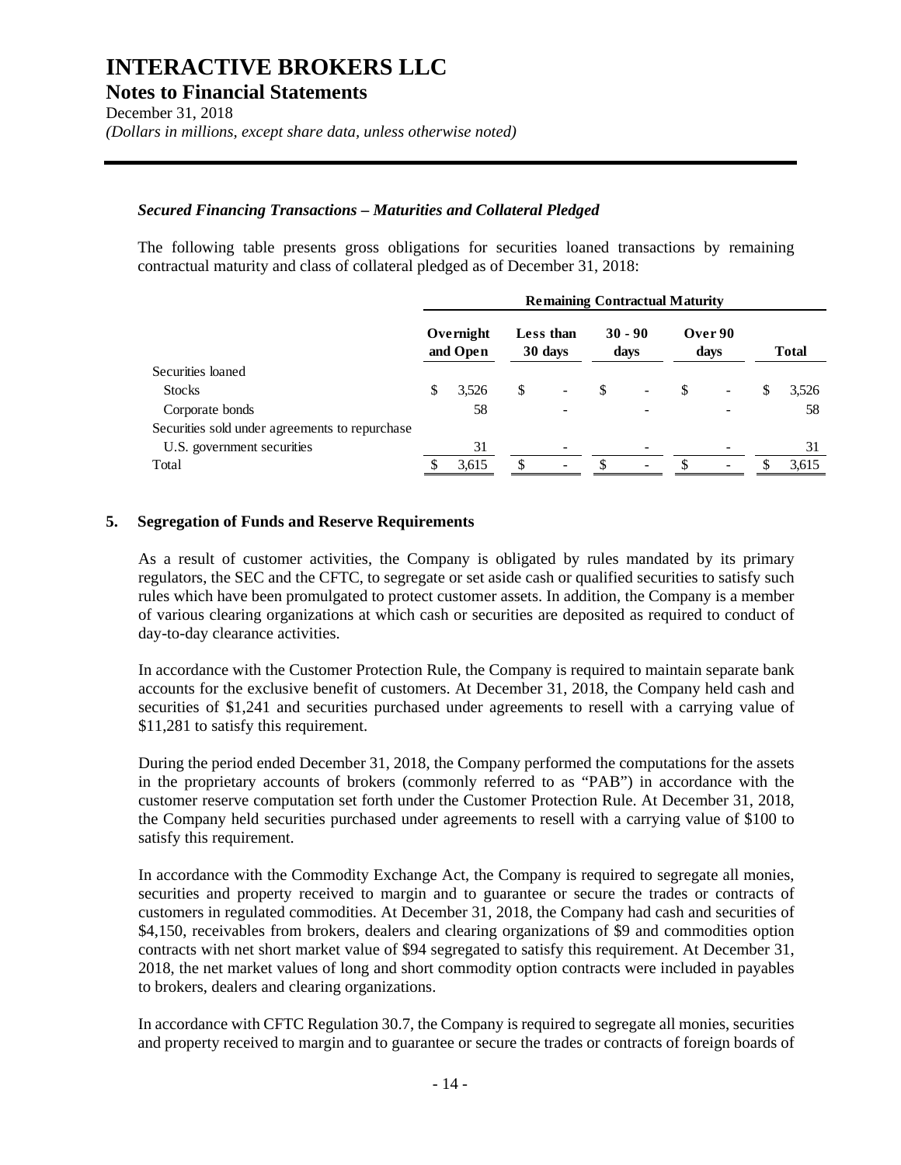**Notes to Financial Statements** 

December 31, 2018 *(Dollars in millions, except share data, unless otherwise noted)* 

#### *Secured Financing Transactions – Maturities and Collateral Pledged*

The following table presents gross obligations for securities loaned transactions by remaining contractual maturity and class of collateral pledged as of December 31, 2018:

| <b>Remaining Contractual Maturity</b> |       |                       |                          |                      |                          |                   |                          |                 |              |
|---------------------------------------|-------|-----------------------|--------------------------|----------------------|--------------------------|-------------------|--------------------------|-----------------|--------------|
|                                       |       |                       |                          |                      |                          |                   |                          |                 | <b>Total</b> |
|                                       |       |                       |                          |                      |                          |                   |                          |                 |              |
| \$                                    | 3,526 | S                     | $\overline{\phantom{0}}$ | S                    | $\overline{\phantom{0}}$ | S                 | $\overline{\phantom{0}}$ | S               | 3,526        |
|                                       | 58    |                       |                          |                      |                          |                   |                          |                 | 58           |
|                                       |       |                       |                          |                      |                          |                   |                          |                 |              |
|                                       | 31    |                       |                          |                      |                          |                   |                          |                 | 31           |
|                                       | 3,615 |                       | $\overline{\phantom{a}}$ | Я                    | $\overline{\phantom{a}}$ |                   |                          |                 | 3,615        |
|                                       |       | Overnight<br>and Open |                          | Less than<br>30 days |                          | $30 - 90$<br>days |                          | Over 90<br>days |              |

#### **5. Segregation of Funds and Reserve Requirements**

As a result of customer activities, the Company is obligated by rules mandated by its primary regulators, the SEC and the CFTC, to segregate or set aside cash or qualified securities to satisfy such rules which have been promulgated to protect customer assets. In addition, the Company is a member of various clearing organizations at which cash or securities are deposited as required to conduct of day-to-day clearance activities.

In accordance with the Customer Protection Rule, the Company is required to maintain separate bank accounts for the exclusive benefit of customers. At December 31, 2018, the Company held cash and securities of \$1,241 and securities purchased under agreements to resell with a carrying value of \$11,281 to satisfy this requirement.

During the period ended December 31, 2018, the Company performed the computations for the assets in the proprietary accounts of brokers (commonly referred to as "PAB") in accordance with the customer reserve computation set forth under the Customer Protection Rule. At December 31, 2018, the Company held securities purchased under agreements to resell with a carrying value of \$100 to satisfy this requirement.

In accordance with the Commodity Exchange Act, the Company is required to segregate all monies, securities and property received to margin and to guarantee or secure the trades or contracts of customers in regulated commodities. At December 31, 2018, the Company had cash and securities of \$4,150, receivables from brokers, dealers and clearing organizations of \$9 and commodities option contracts with net short market value of \$94 segregated to satisfy this requirement. At December 31, 2018, the net market values of long and short commodity option contracts were included in payables to brokers, dealers and clearing organizations.

In accordance with CFTC Regulation 30.7, the Company is required to segregate all monies, securities and property received to margin and to guarantee or secure the trades or contracts of foreign boards of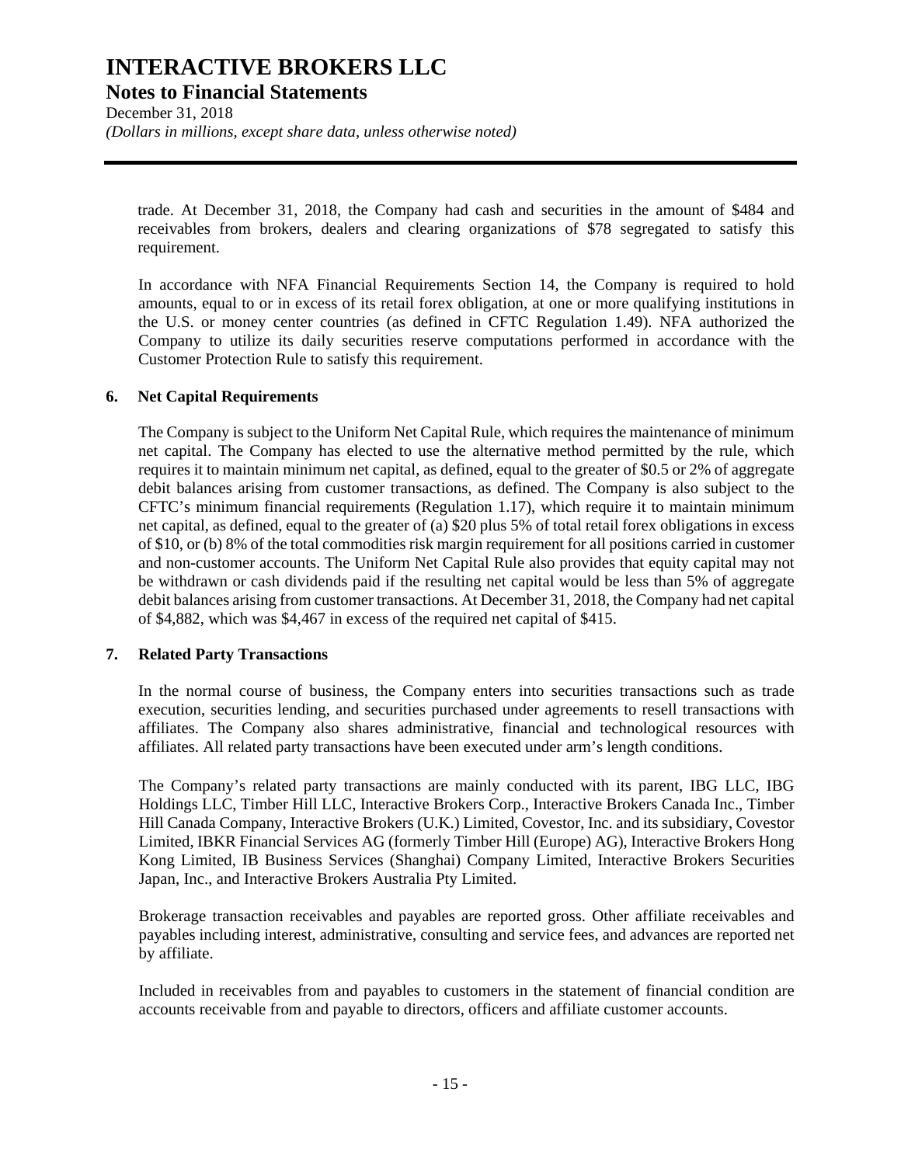**Notes to Financial Statements** 

December 31, 2018 *(Dollars in millions, except share data, unless otherwise noted)* 

trade. At December 31, 2018, the Company had cash and securities in the amount of \$484 and receivables from brokers, dealers and clearing organizations of \$78 segregated to satisfy this requirement.

In accordance with NFA Financial Requirements Section 14, the Company is required to hold amounts, equal to or in excess of its retail forex obligation, at one or more qualifying institutions in the U.S. or money center countries (as defined in CFTC Regulation 1.49). NFA authorized the Company to utilize its daily securities reserve computations performed in accordance with the Customer Protection Rule to satisfy this requirement.

#### **6. Net Capital Requirements**

The Company is subject to the Uniform Net Capital Rule, which requires the maintenance of minimum net capital. The Company has elected to use the alternative method permitted by the rule, which requires it to maintain minimum net capital, as defined, equal to the greater of \$0.5 or 2% of aggregate debit balances arising from customer transactions, as defined. The Company is also subject to the CFTC's minimum financial requirements (Regulation 1.17), which require it to maintain minimum net capital, as defined, equal to the greater of (a) \$20 plus 5% of total retail forex obligations in excess of \$10, or (b) 8% of the total commodities risk margin requirement for all positions carried in customer and non-customer accounts. The Uniform Net Capital Rule also provides that equity capital may not be withdrawn or cash dividends paid if the resulting net capital would be less than 5% of aggregate debit balances arising from customer transactions. At December 31, 2018, the Company had net capital of \$4,882, which was \$4,467 in excess of the required net capital of \$415.

#### **7. Related Party Transactions**

In the normal course of business, the Company enters into securities transactions such as trade execution, securities lending, and securities purchased under agreements to resell transactions with affiliates. The Company also shares administrative, financial and technological resources with affiliates. All related party transactions have been executed under arm's length conditions.

The Company's related party transactions are mainly conducted with its parent, IBG LLC, IBG Holdings LLC, Timber Hill LLC, Interactive Brokers Corp., Interactive Brokers Canada Inc., Timber Hill Canada Company, Interactive Brokers (U.K.) Limited, Covestor, Inc. and its subsidiary, Covestor Limited, IBKR Financial Services AG (formerly Timber Hill (Europe) AG), Interactive Brokers Hong Kong Limited, IB Business Services (Shanghai) Company Limited, Interactive Brokers Securities Japan, Inc., and Interactive Brokers Australia Pty Limited.

Brokerage transaction receivables and payables are reported gross. Other affiliate receivables and payables including interest, administrative, consulting and service fees, and advances are reported net by affiliate.

Included in receivables from and payables to customers in the statement of financial condition are accounts receivable from and payable to directors, officers and affiliate customer accounts.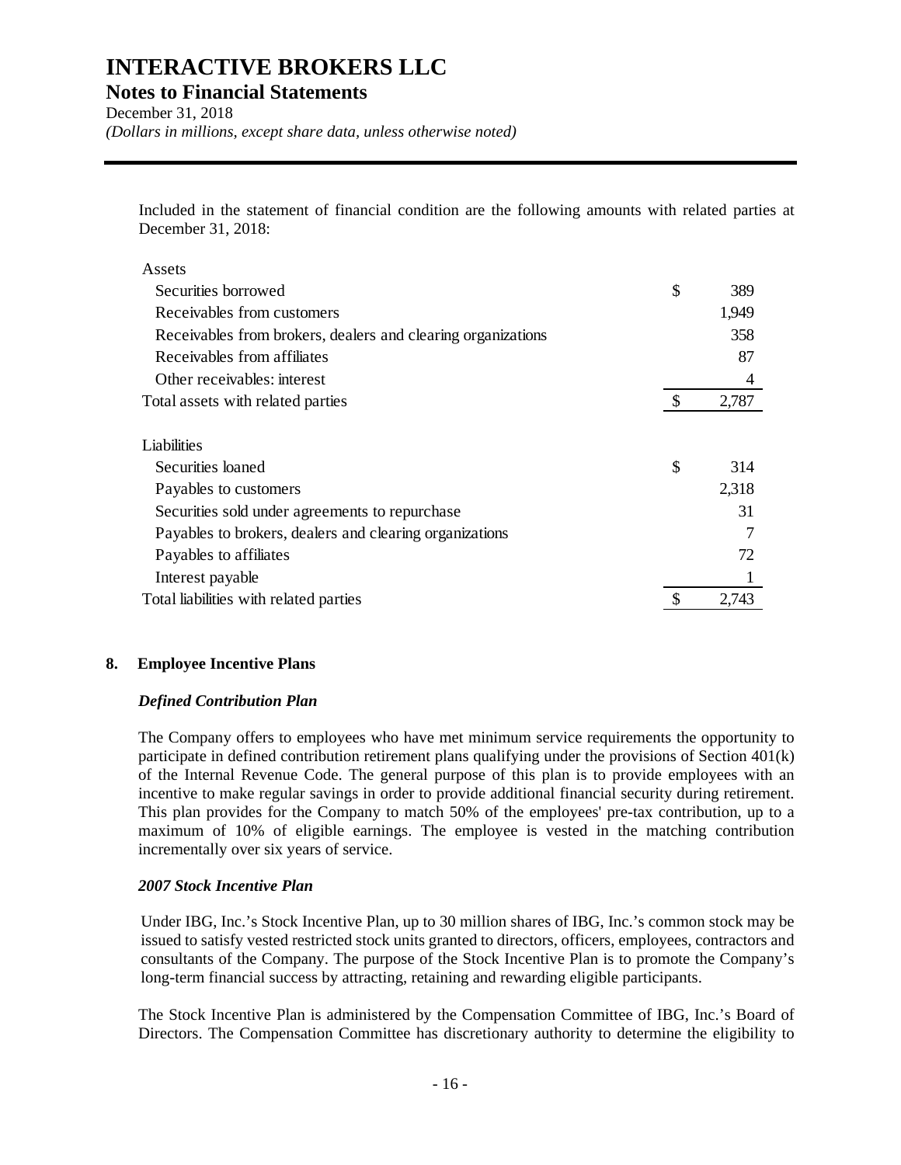**Notes to Financial Statements** 

December 31, 2018 *(Dollars in millions, except share data, unless otherwise noted)* 

Included in the statement of financial condition are the following amounts with related parties at December 31, 2018:

| Assets                                                       |             |
|--------------------------------------------------------------|-------------|
| Securities borrowed                                          | \$<br>389   |
| Receivables from customers                                   | 1,949       |
| Receivables from brokers, dealers and clearing organizations | 358         |
| Receivables from affiliates                                  | 87          |
| Other receivables: interest                                  | 4           |
| Total assets with related parties                            | \$<br>2,787 |
| Liabilities                                                  |             |
| Securities loaned                                            | \$<br>314   |
| Payables to customers                                        | 2,318       |
| Securities sold under agreements to repurchase               | 31          |
| Payables to brokers, dealers and clearing organizations      |             |
| Payables to affiliates                                       | 72          |
| Interest payable                                             |             |
| Total liabilities with related parties                       | \$<br>2,743 |

#### **8. Employee Incentive Plans**

#### *Defined Contribution Plan*

The Company offers to employees who have met minimum service requirements the opportunity to participate in defined contribution retirement plans qualifying under the provisions of Section 401(k) of the Internal Revenue Code. The general purpose of this plan is to provide employees with an incentive to make regular savings in order to provide additional financial security during retirement. This plan provides for the Company to match 50% of the employees' pre-tax contribution, up to a maximum of 10% of eligible earnings. The employee is vested in the matching contribution incrementally over six years of service.

#### *2007 Stock Incentive Plan*

Under IBG, Inc.'s Stock Incentive Plan, up to 30 million shares of IBG, Inc.'s common stock may be issued to satisfy vested restricted stock units granted to directors, officers, employees, contractors and consultants of the Company. The purpose of the Stock Incentive Plan is to promote the Company's long-term financial success by attracting, retaining and rewarding eligible participants.

The Stock Incentive Plan is administered by the Compensation Committee of IBG, Inc.'s Board of Directors. The Compensation Committee has discretionary authority to determine the eligibility to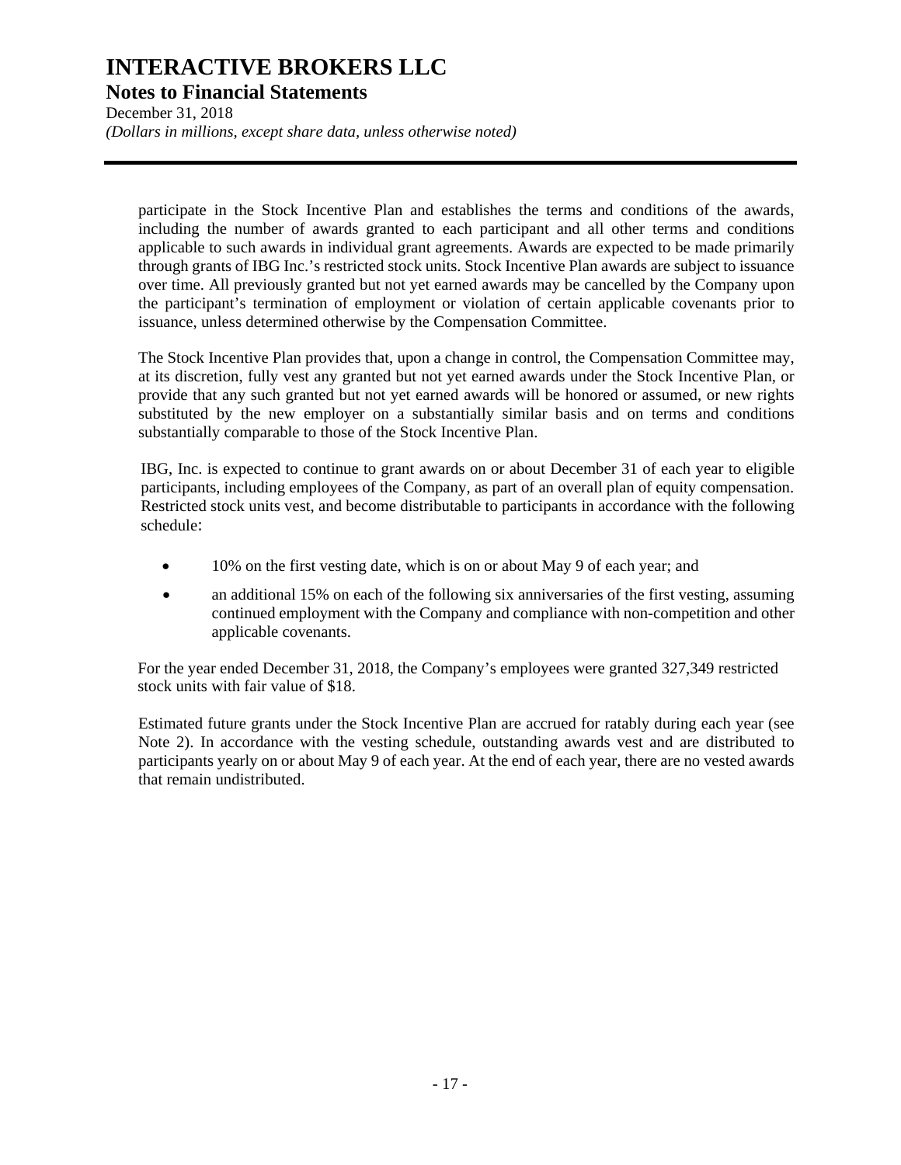**Notes to Financial Statements** 

December 31, 2018 *(Dollars in millions, except share data, unless otherwise noted)* 

participate in the Stock Incentive Plan and establishes the terms and conditions of the awards, including the number of awards granted to each participant and all other terms and conditions applicable to such awards in individual grant agreements. Awards are expected to be made primarily through grants of IBG Inc.'s restricted stock units. Stock Incentive Plan awards are subject to issuance over time. All previously granted but not yet earned awards may be cancelled by the Company upon the participant's termination of employment or violation of certain applicable covenants prior to issuance, unless determined otherwise by the Compensation Committee.

The Stock Incentive Plan provides that, upon a change in control, the Compensation Committee may, at its discretion, fully vest any granted but not yet earned awards under the Stock Incentive Plan, or provide that any such granted but not yet earned awards will be honored or assumed, or new rights substituted by the new employer on a substantially similar basis and on terms and conditions substantially comparable to those of the Stock Incentive Plan.

IBG, Inc. is expected to continue to grant awards on or about December 31 of each year to eligible participants, including employees of the Company, as part of an overall plan of equity compensation. Restricted stock units vest, and become distributable to participants in accordance with the following schedule:

- 10% on the first vesting date, which is on or about May 9 of each year; and
- an additional 15% on each of the following six anniversaries of the first vesting, assuming continued employment with the Company and compliance with non-competition and other applicable covenants.

For the year ended December 31, 2018, the Company's employees were granted 327,349 restricted stock units with fair value of \$18.

Estimated future grants under the Stock Incentive Plan are accrued for ratably during each year (see Note 2). In accordance with the vesting schedule, outstanding awards vest and are distributed to participants yearly on or about May 9 of each year. At the end of each year, there are no vested awards that remain undistributed.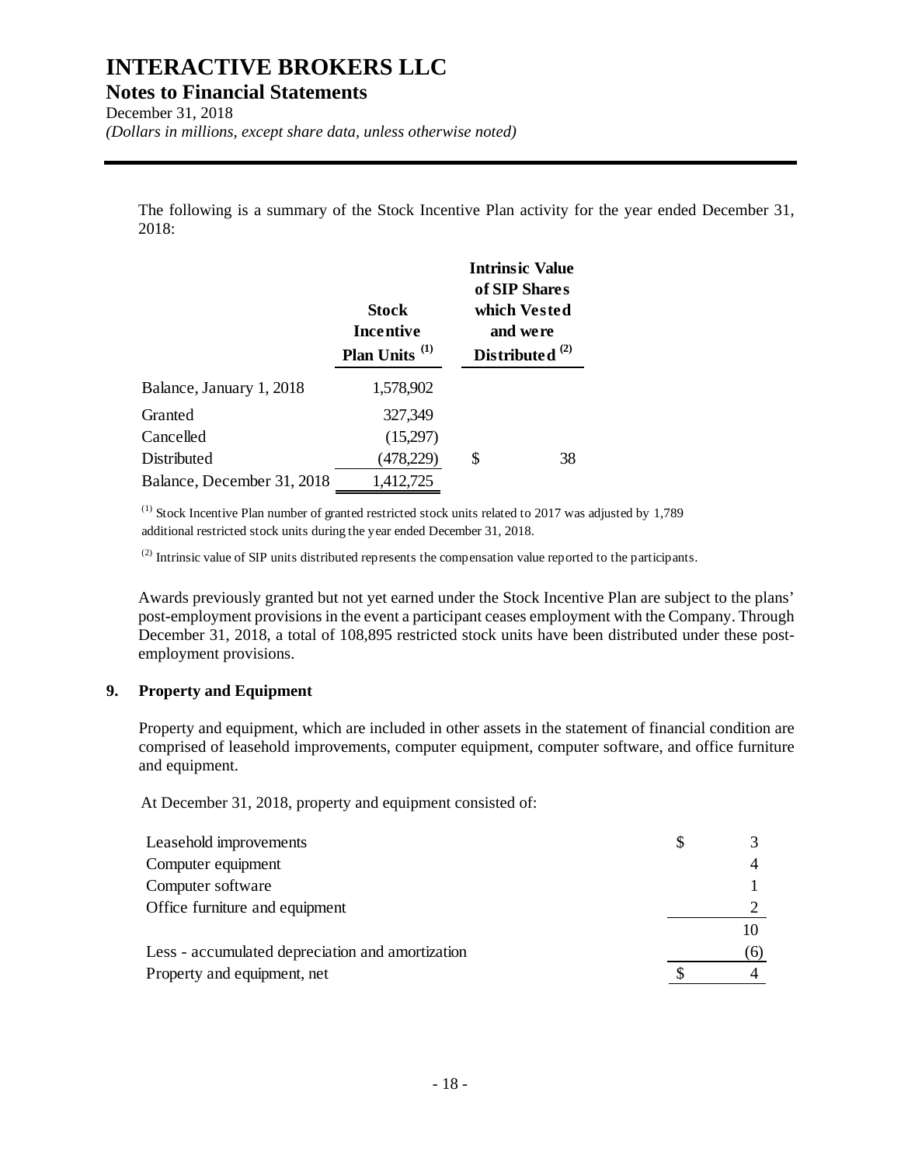**Notes to Financial Statements** 

December 31, 2018 *(Dollars in millions, except share data, unless otherwise noted)* 

The following is a summary of the Stock Incentive Plan activity for the year ended December 31, 2018:

|                            | <b>Stock</b><br><b>Incentive</b><br>Plan Units <sup>(1)</sup> | <b>Intrinsic Value</b><br>of SIP Shares<br>which Vested<br>and were<br>Distributed $^{(2)}$ |
|----------------------------|---------------------------------------------------------------|---------------------------------------------------------------------------------------------|
| Balance, January 1, 2018   | 1,578,902                                                     |                                                                                             |
| Granted                    | 327,349                                                       |                                                                                             |
| Cancelled                  | (15,297)                                                      |                                                                                             |
| Distributed                | (478,229)                                                     | \$<br>38                                                                                    |
| Balance, December 31, 2018 | 1,412,725                                                     |                                                                                             |

(1) Stock Incentive Plan number of granted restricted stock units related to 2017 was adjusted by 1,789 additional restricted stock units during the year ended December 31, 2018.

 $^{(2)}$  Intrinsic value of SIP units distributed represents the compensation value reported to the participants.

Awards previously granted but not yet earned under the Stock Incentive Plan are subject to the plans' post-employment provisions in the event a participant ceases employment with the Company. Through December 31, 2018, a total of 108,895 restricted stock units have been distributed under these postemployment provisions.

#### **9. Property and Equipment**

Property and equipment, which are included in other assets in the statement of financial condition are comprised of leasehold improvements, computer equipment, computer software, and office furniture and equipment.

At December 31, 2018, property and equipment consisted of:

| Leasehold improvements                           |     |
|--------------------------------------------------|-----|
| Computer equipment                               |     |
| Computer software                                |     |
| Office furniture and equipment                   |     |
|                                                  |     |
| Less - accumulated depreciation and amortization | (6) |
| Property and equipment, net                      |     |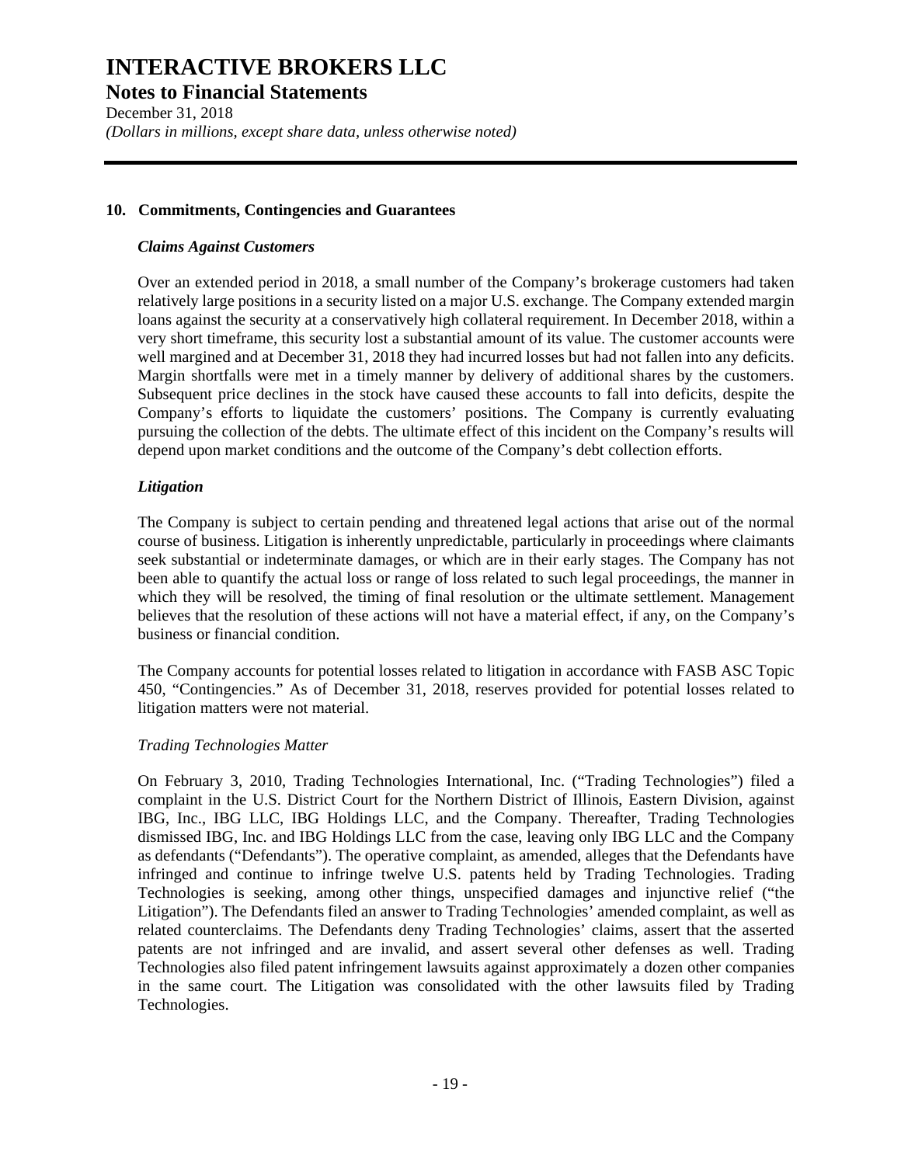**Notes to Financial Statements** 

December 31, 2018 *(Dollars in millions, except share data, unless otherwise noted)* 

#### **10. Commitments, Contingencies and Guarantees**

#### *Claims Against Customers*

Over an extended period in 2018, a small number of the Company's brokerage customers had taken relatively large positions in a security listed on a major U.S. exchange. The Company extended margin loans against the security at a conservatively high collateral requirement. In December 2018, within a very short timeframe, this security lost a substantial amount of its value. The customer accounts were well margined and at December 31, 2018 they had incurred losses but had not fallen into any deficits. Margin shortfalls were met in a timely manner by delivery of additional shares by the customers. Subsequent price declines in the stock have caused these accounts to fall into deficits, despite the Company's efforts to liquidate the customers' positions. The Company is currently evaluating pursuing the collection of the debts. The ultimate effect of this incident on the Company's results will depend upon market conditions and the outcome of the Company's debt collection efforts.

#### *Litigation*

The Company is subject to certain pending and threatened legal actions that arise out of the normal course of business. Litigation is inherently unpredictable, particularly in proceedings where claimants seek substantial or indeterminate damages, or which are in their early stages. The Company has not been able to quantify the actual loss or range of loss related to such legal proceedings, the manner in which they will be resolved, the timing of final resolution or the ultimate settlement. Management believes that the resolution of these actions will not have a material effect, if any, on the Company's business or financial condition.

The Company accounts for potential losses related to litigation in accordance with FASB ASC Topic 450, "Contingencies." As of December 31, 2018, reserves provided for potential losses related to litigation matters were not material.

#### *Trading Technologies Matter*

On February 3, 2010, Trading Technologies International, Inc. ("Trading Technologies") filed a complaint in the U.S. District Court for the Northern District of Illinois, Eastern Division, against IBG, Inc., IBG LLC, IBG Holdings LLC, and the Company. Thereafter, Trading Technologies dismissed IBG, Inc. and IBG Holdings LLC from the case, leaving only IBG LLC and the Company as defendants ("Defendants"). The operative complaint, as amended, alleges that the Defendants have infringed and continue to infringe twelve U.S. patents held by Trading Technologies. Trading Technologies is seeking, among other things, unspecified damages and injunctive relief ("the Litigation"). The Defendants filed an answer to Trading Technologies' amended complaint, as well as related counterclaims. The Defendants deny Trading Technologies' claims, assert that the asserted patents are not infringed and are invalid, and assert several other defenses as well. Trading Technologies also filed patent infringement lawsuits against approximately a dozen other companies in the same court. The Litigation was consolidated with the other lawsuits filed by Trading Technologies.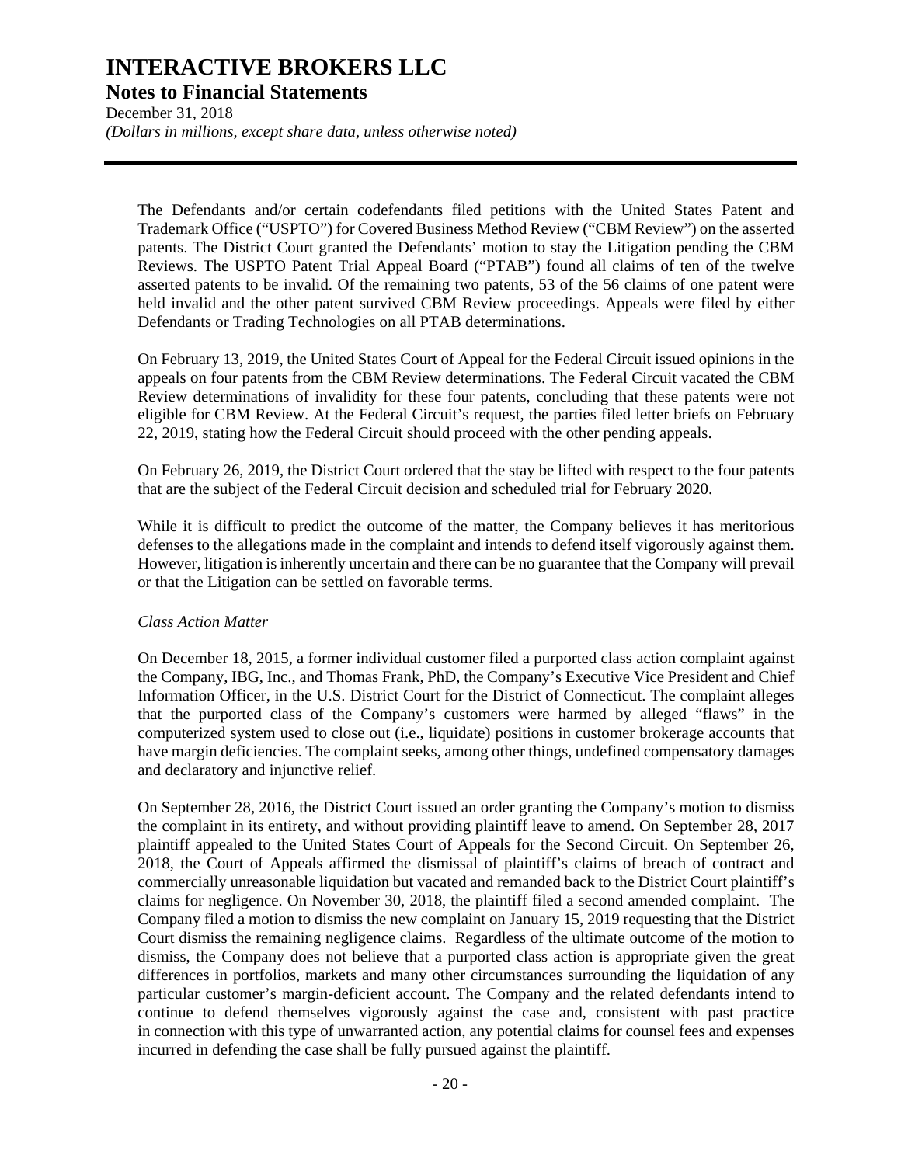#### **Notes to Financial Statements**

December 31, 2018 *(Dollars in millions, except share data, unless otherwise noted)* 

The Defendants and/or certain codefendants filed petitions with the United States Patent and Trademark Office ("USPTO") for Covered Business Method Review ("CBM Review") on the asserted patents. The District Court granted the Defendants' motion to stay the Litigation pending the CBM Reviews. The USPTO Patent Trial Appeal Board ("PTAB") found all claims of ten of the twelve asserted patents to be invalid. Of the remaining two patents, 53 of the 56 claims of one patent were held invalid and the other patent survived CBM Review proceedings. Appeals were filed by either Defendants or Trading Technologies on all PTAB determinations.

On February 13, 2019, the United States Court of Appeal for the Federal Circuit issued opinions in the appeals on four patents from the CBM Review determinations. The Federal Circuit vacated the CBM Review determinations of invalidity for these four patents, concluding that these patents were not eligible for CBM Review. At the Federal Circuit's request, the parties filed letter briefs on February 22, 2019, stating how the Federal Circuit should proceed with the other pending appeals.

On February 26, 2019, the District Court ordered that the stay be lifted with respect to the four patents that are the subject of the Federal Circuit decision and scheduled trial for February 2020.

While it is difficult to predict the outcome of the matter, the Company believes it has meritorious defenses to the allegations made in the complaint and intends to defend itself vigorously against them. However, litigation is inherently uncertain and there can be no guarantee that the Company will prevail or that the Litigation can be settled on favorable terms.

#### *Class Action Matter*

On December 18, 2015, a former individual customer filed a purported class action complaint against the Company, IBG, Inc., and Thomas Frank, PhD, the Company's Executive Vice President and Chief Information Officer, in the U.S. District Court for the District of Connecticut. The complaint alleges that the purported class of the Company's customers were harmed by alleged "flaws" in the computerized system used to close out (i.e., liquidate) positions in customer brokerage accounts that have margin deficiencies. The complaint seeks, among other things, undefined compensatory damages and declaratory and injunctive relief.

On September 28, 2016, the District Court issued an order granting the Company's motion to dismiss the complaint in its entirety, and without providing plaintiff leave to amend. On September 28, 2017 plaintiff appealed to the United States Court of Appeals for the Second Circuit. On September 26, 2018, the Court of Appeals affirmed the dismissal of plaintiff's claims of breach of contract and commercially unreasonable liquidation but vacated and remanded back to the District Court plaintiff's claims for negligence. On November 30, 2018, the plaintiff filed a second amended complaint. The Company filed a motion to dismiss the new complaint on January 15, 2019 requesting that the District Court dismiss the remaining negligence claims. Regardless of the ultimate outcome of the motion to dismiss, the Company does not believe that a purported class action is appropriate given the great differences in portfolios, markets and many other circumstances surrounding the liquidation of any particular customer's margin-deficient account. The Company and the related defendants intend to continue to defend themselves vigorously against the case and, consistent with past practice in connection with this type of unwarranted action, any potential claims for counsel fees and expenses incurred in defending the case shall be fully pursued against the plaintiff.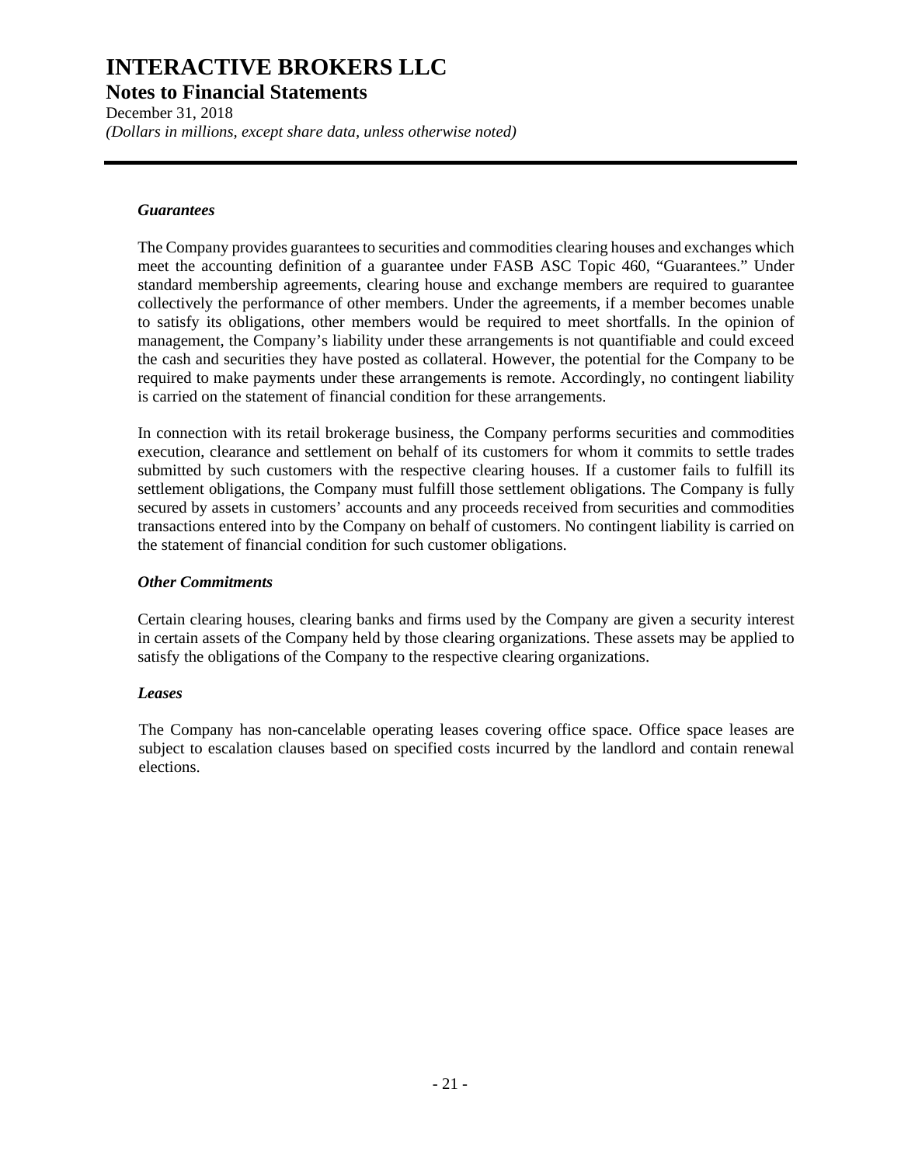**Notes to Financial Statements** 

December 31, 2018 *(Dollars in millions, except share data, unless otherwise noted)* 

#### *Guarantees*

The Company provides guarantees to securities and commodities clearing houses and exchanges which meet the accounting definition of a guarantee under FASB ASC Topic 460, "Guarantees." Under standard membership agreements, clearing house and exchange members are required to guarantee collectively the performance of other members. Under the agreements, if a member becomes unable to satisfy its obligations, other members would be required to meet shortfalls. In the opinion of management, the Company's liability under these arrangements is not quantifiable and could exceed the cash and securities they have posted as collateral. However, the potential for the Company to be required to make payments under these arrangements is remote. Accordingly, no contingent liability is carried on the statement of financial condition for these arrangements.

In connection with its retail brokerage business, the Company performs securities and commodities execution, clearance and settlement on behalf of its customers for whom it commits to settle trades submitted by such customers with the respective clearing houses. If a customer fails to fulfill its settlement obligations, the Company must fulfill those settlement obligations. The Company is fully secured by assets in customers' accounts and any proceeds received from securities and commodities transactions entered into by the Company on behalf of customers. No contingent liability is carried on the statement of financial condition for such customer obligations.

#### *Other Commitments*

Certain clearing houses, clearing banks and firms used by the Company are given a security interest in certain assets of the Company held by those clearing organizations. These assets may be applied to satisfy the obligations of the Company to the respective clearing organizations.

#### *Leases*

The Company has non-cancelable operating leases covering office space. Office space leases are subject to escalation clauses based on specified costs incurred by the landlord and contain renewal elections.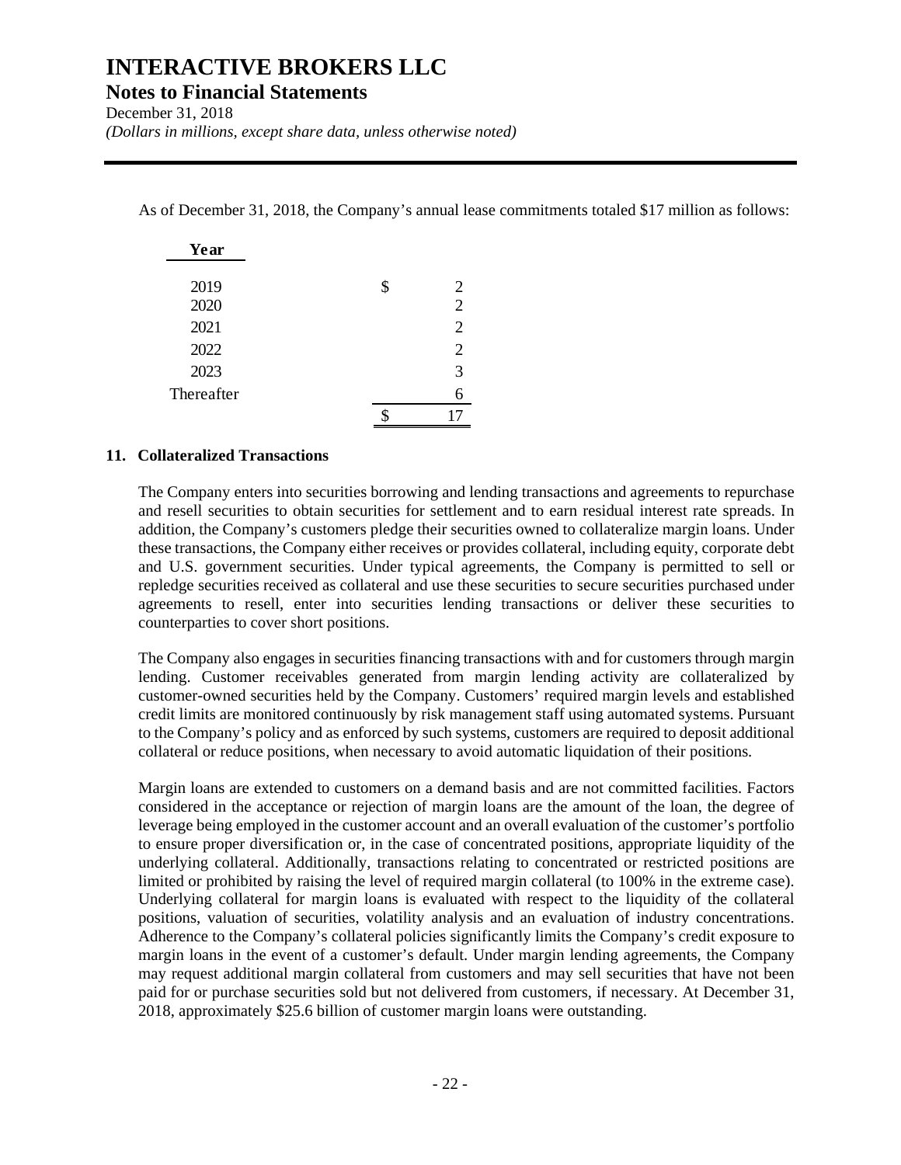**Notes to Financial Statements** 

December 31, 2018

*(Dollars in millions, except share data, unless otherwise noted)* 

As of December 31, 2018, the Company's annual lease commitments totaled \$17 million as follows:

| Year       |         |
|------------|---------|
|            |         |
| 2019       | \$<br>2 |
| 2020       | 2       |
| 2021       | 2       |
| 2022       | 2       |
| 2023       | 3       |
| Thereafter | 6       |
|            |         |

#### **11. Collateralized Transactions**

The Company enters into securities borrowing and lending transactions and agreements to repurchase and resell securities to obtain securities for settlement and to earn residual interest rate spreads. In addition, the Company's customers pledge their securities owned to collateralize margin loans. Under these transactions, the Company either receives or provides collateral, including equity, corporate debt and U.S. government securities. Under typical agreements, the Company is permitted to sell or repledge securities received as collateral and use these securities to secure securities purchased under agreements to resell, enter into securities lending transactions or deliver these securities to counterparties to cover short positions.

The Company also engages in securities financing transactions with and for customers through margin lending. Customer receivables generated from margin lending activity are collateralized by customer-owned securities held by the Company. Customers' required margin levels and established credit limits are monitored continuously by risk management staff using automated systems. Pursuant to the Company's policy and as enforced by such systems, customers are required to deposit additional collateral or reduce positions, when necessary to avoid automatic liquidation of their positions.

Margin loans are extended to customers on a demand basis and are not committed facilities. Factors considered in the acceptance or rejection of margin loans are the amount of the loan, the degree of leverage being employed in the customer account and an overall evaluation of the customer's portfolio to ensure proper diversification or, in the case of concentrated positions, appropriate liquidity of the underlying collateral. Additionally, transactions relating to concentrated or restricted positions are limited or prohibited by raising the level of required margin collateral (to 100% in the extreme case). Underlying collateral for margin loans is evaluated with respect to the liquidity of the collateral positions, valuation of securities, volatility analysis and an evaluation of industry concentrations. Adherence to the Company's collateral policies significantly limits the Company's credit exposure to margin loans in the event of a customer's default. Under margin lending agreements, the Company may request additional margin collateral from customers and may sell securities that have not been paid for or purchase securities sold but not delivered from customers, if necessary. At December 31, 2018, approximately \$25.6 billion of customer margin loans were outstanding.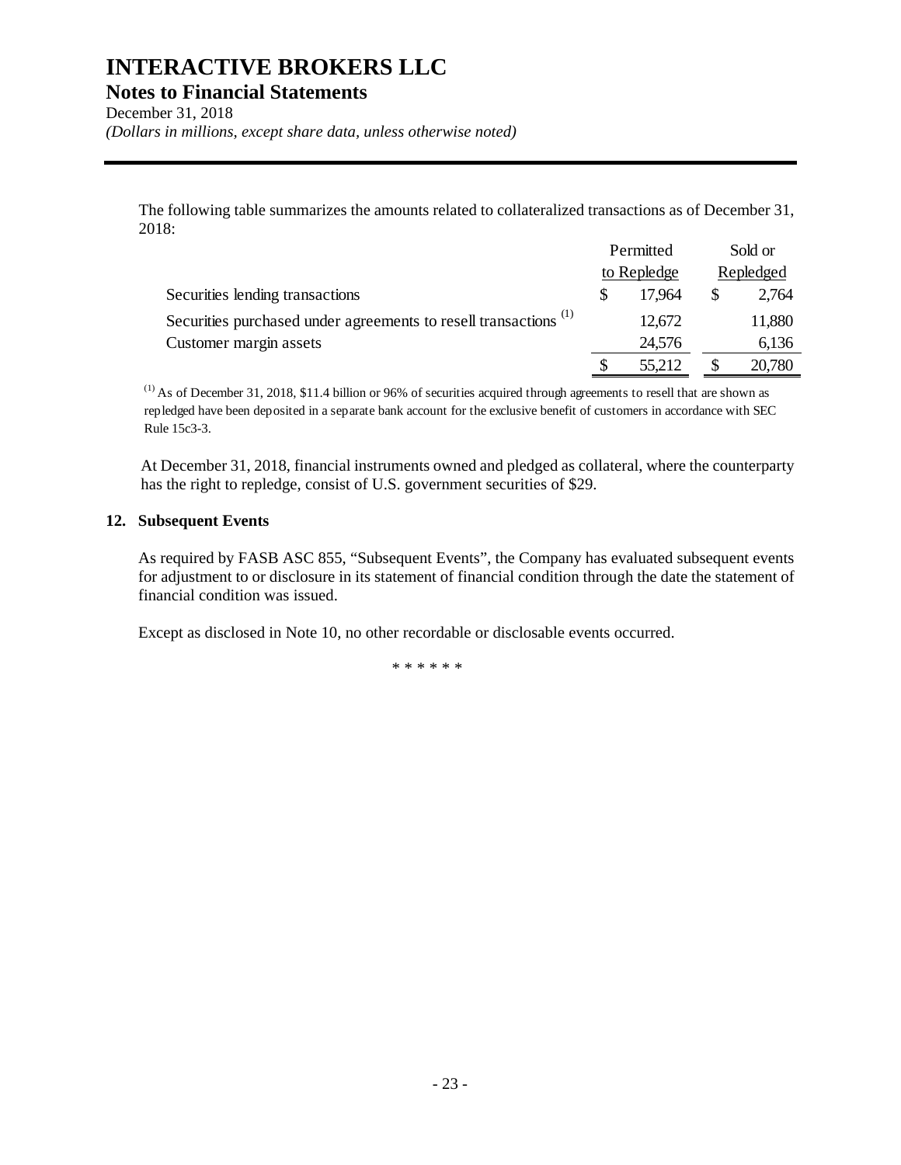**Notes to Financial Statements** 

December 31, 2018

*(Dollars in millions, except share data, unless otherwise noted)* 

The following table summarizes the amounts related to collateralized transactions as of December 31, 2018:

|                                                                             | Permitted   | Sold or   |
|-----------------------------------------------------------------------------|-------------|-----------|
|                                                                             | to Repledge | Repledged |
| Securities lending transactions                                             | 17.964      | 2,764     |
| Securities purchased under agreements to resell transactions <sup>(1)</sup> | 12,672      | 11,880    |
| Customer margin assets                                                      | 24,576      | 6,136     |
|                                                                             | 55,212      | 20,780    |

 $<sup>(1)</sup>$  As of December 31, 2018, \$11.4 billion or 96% of securities acquired through agreements to resell that are shown as</sup> repledged have been deposited in a separate bank account for the exclusive benefit of customers in accordance with SEC Rule 15c3-3.

At December 31, 2018, financial instruments owned and pledged as collateral, where the counterparty has the right to repledge, consist of U.S. government securities of \$29.

#### **12. Subsequent Events**

As required by FASB ASC 855, "Subsequent Events", the Company has evaluated subsequent events for adjustment to or disclosure in its statement of financial condition through the date the statement of financial condition was issued.

Except as disclosed in Note 10, no other recordable or disclosable events occurred.

\*\*\*\*\*\*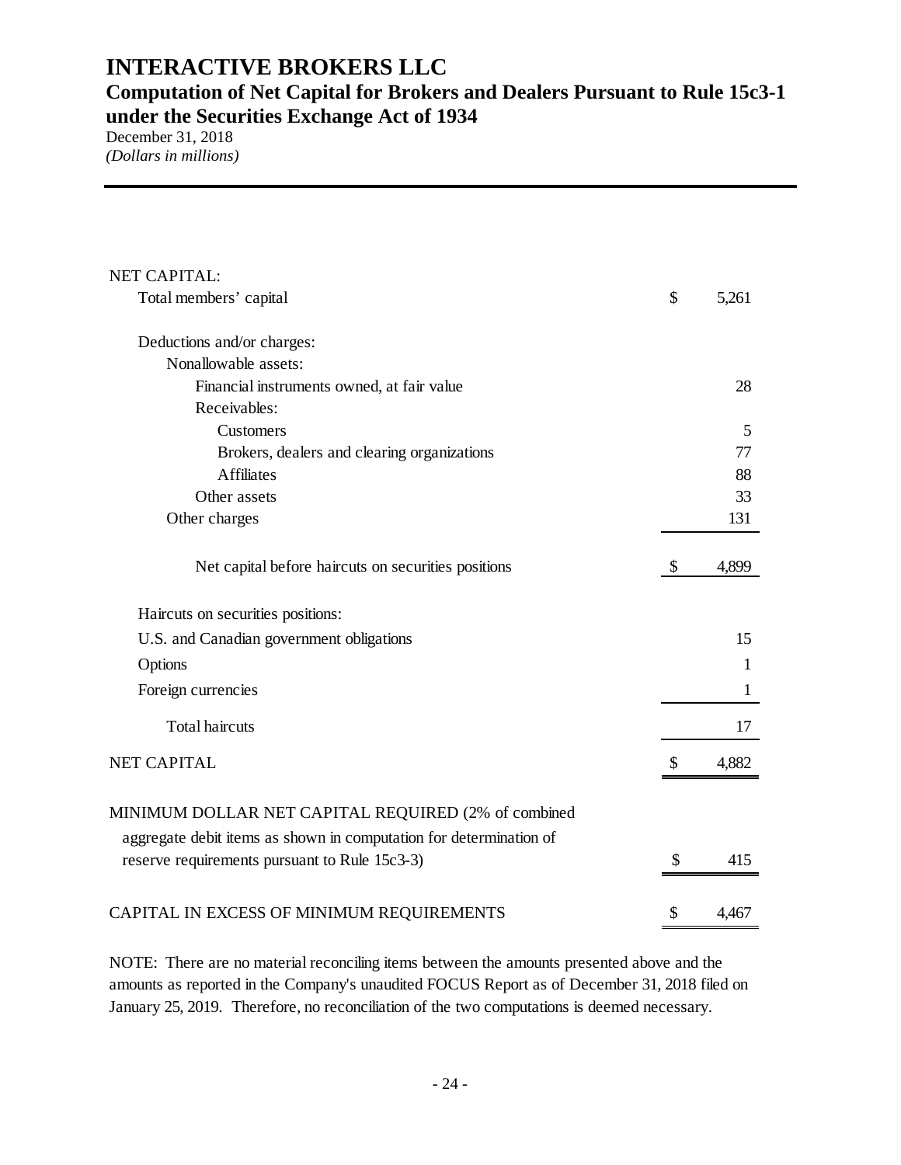### **Computation of Net Capital for Brokers and Dealers Pursuant to Rule 15c3-1 under the Securities Exchange Act of 1934**

December 31, 2018 *(Dollars in millions)* 

| NET CAPITAL:                                                       |              |
|--------------------------------------------------------------------|--------------|
| Total members' capital                                             | \$<br>5,261  |
| Deductions and/or charges:                                         |              |
| Nonallowable assets:                                               |              |
| Financial instruments owned, at fair value                         | 28           |
| Receivables:                                                       |              |
| Customers                                                          | 5            |
| Brokers, dealers and clearing organizations                        | 77           |
| <b>Affiliates</b>                                                  | 88           |
| Other assets                                                       | 33           |
| Other charges                                                      | 131          |
| Net capital before haircuts on securities positions                | \$<br>4,899  |
| Haircuts on securities positions:                                  |              |
| U.S. and Canadian government obligations                           | 15           |
| Options                                                            | 1            |
| Foreign currencies                                                 | $\mathbf{1}$ |
| <b>Total haircuts</b>                                              | 17           |
| <b>NET CAPITAL</b>                                                 | \$<br>4,882  |
| MINIMUM DOLLAR NET CAPITAL REQUIRED (2% of combined                |              |
| aggregate debit items as shown in computation for determination of |              |
| reserve requirements pursuant to Rule 15c3-3)                      | \$<br>415    |
| CAPITAL IN EXCESS OF MINIMUM REQUIREMENTS                          | \$<br>4,467  |

NOTE: There are no material reconciling items between the amounts presented above and the amounts as reported in the Company's unaudited FOCUS Report as of December 31, 2018 filed on January 25, 2019. Therefore, no reconciliation of the two computations is deemed necessary.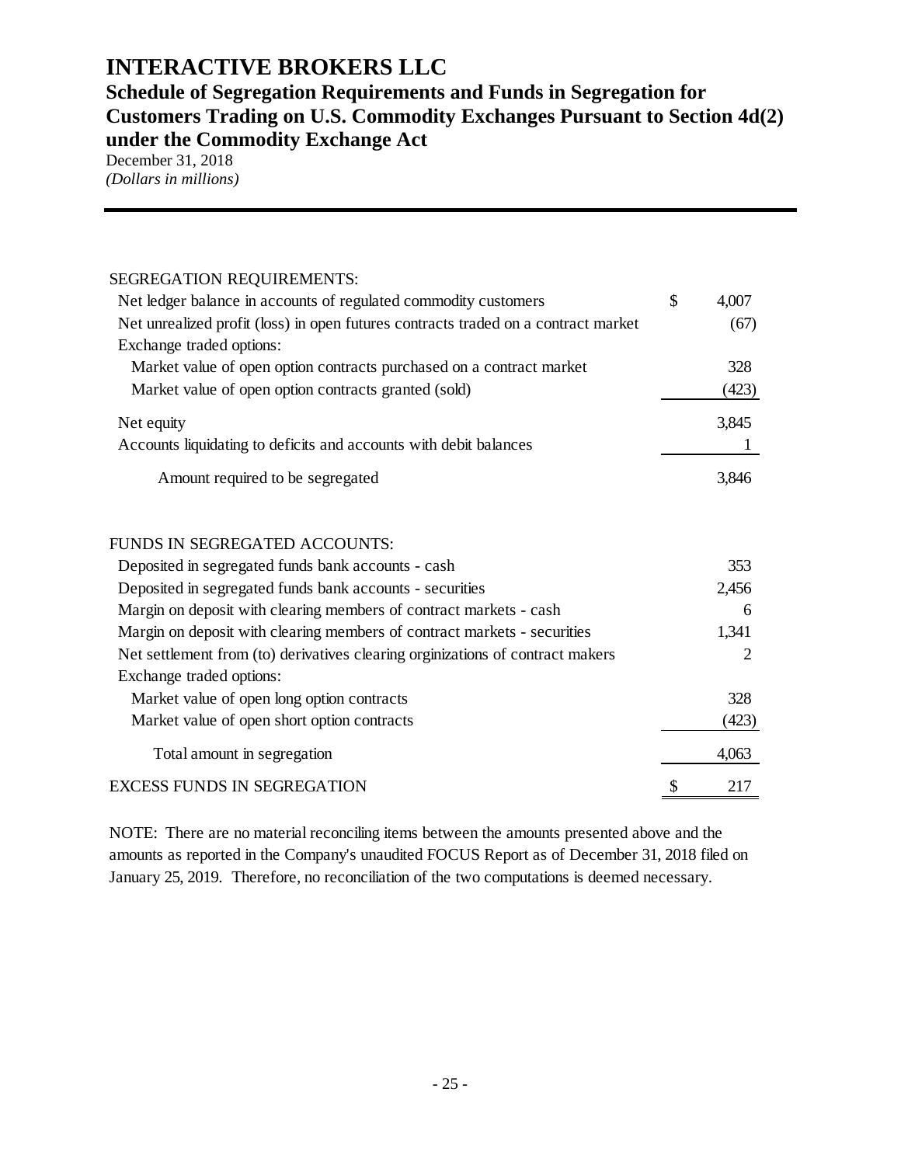### **Schedule of Segregation Requirements and Funds in Segregation for Customers Trading on U.S. Commodity Exchanges Pursuant to Section 4d(2) under the Commodity Exchange Act**

December 31, 2018 *(Dollars in millions)* 

| SEGREGATION REQUIREMENTS:                                                          |             |
|------------------------------------------------------------------------------------|-------------|
| Net ledger balance in accounts of regulated commodity customers                    | \$<br>4,007 |
| Net unrealized profit (loss) in open futures contracts traded on a contract market | (67)        |
| Exchange traded options:                                                           |             |
| Market value of open option contracts purchased on a contract market               | 328         |
| Market value of open option contracts granted (sold)                               | (423)       |
| Net equity                                                                         | 3,845       |
| Accounts liquidating to deficits and accounts with debit balances                  |             |
| Amount required to be segregated                                                   | 3,846       |
| FUNDS IN SEGREGATED ACCOUNTS:                                                      |             |
| Deposited in segregated funds bank accounts - cash                                 | 353         |
| Deposited in segregated funds bank accounts - securities                           | 2,456       |
| Margin on deposit with clearing members of contract markets - cash                 | 6           |
| Margin on deposit with clearing members of contract markets - securities           | 1,341       |
| Net settlement from (to) derivatives clearing orginizations of contract makers     | 2           |
| Exchange traded options:                                                           |             |
| Market value of open long option contracts                                         | 328         |
| Market value of open short option contracts                                        | (423)       |
|                                                                                    |             |

Total amount in segregation 4,063 EXCESS FUNDS IN SEGREGATION  $$3$  217

NOTE: There are no material reconciling items between the amounts presented above and the amounts as reported in the Company's unaudited FOCUS Report as of December 31, 2018 filed on January 25, 2019. Therefore, no reconciliation of the two computations is deemed necessary.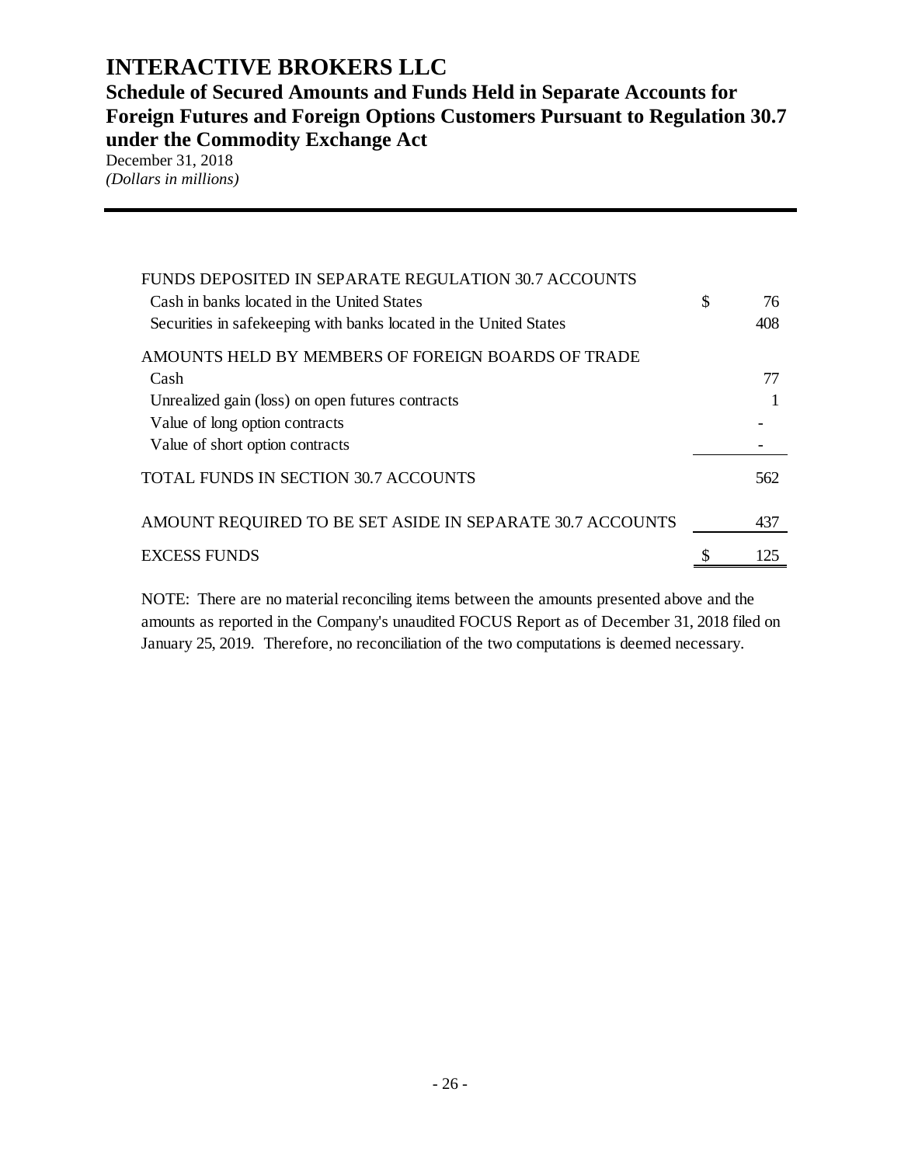**Schedule of Secured Amounts and Funds Held in Separate Accounts for Foreign Futures and Foreign Options Customers Pursuant to Regulation 30.7 under the Commodity Exchange Act** 

December 31, 2018 *(Dollars in millions)* 

| FUNDS DEPOSITED IN SEPARATE REGULATION 30.7 ACCOUNTS<br>Cash in banks located in the United States<br>Securities in safekeeping with banks located in the United States | \$<br>76<br>408 |
|-------------------------------------------------------------------------------------------------------------------------------------------------------------------------|-----------------|
| AMOUNTS HELD BY MEMBERS OF FOREIGN BOARDS OF TRADE                                                                                                                      |                 |
| Cash                                                                                                                                                                    | 77              |
| Unrealized gain (loss) on open futures contracts                                                                                                                        |                 |
| Value of long option contracts                                                                                                                                          |                 |
| Value of short option contracts                                                                                                                                         |                 |
| <b>TOTAL FUNDS IN SECTION 30.7 ACCOUNTS</b>                                                                                                                             | 562             |
| AMOUNT REQUIRED TO BE SET ASIDE IN SEPARATE 30.7 ACCOUNTS                                                                                                               | 437             |
| <b>EXCESS FUNDS</b>                                                                                                                                                     | 125             |

NOTE: There are no material reconciling items between the amounts presented above and the amounts as reported in the Company's unaudited FOCUS Report as of December 31, 2018 filed on January 25, 2019. Therefore, no reconciliation of the two computations is deemed necessary.